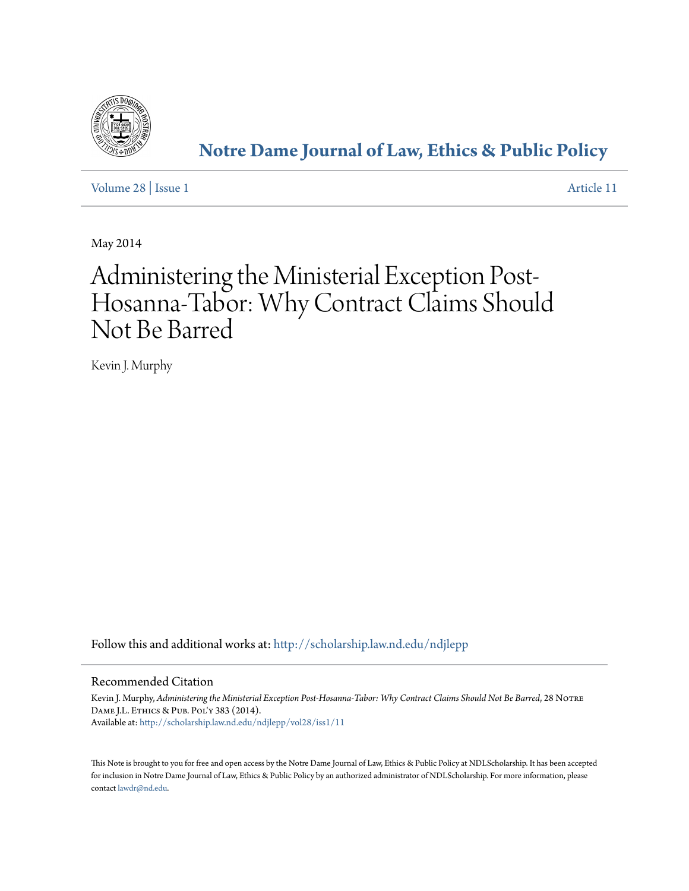

**[Notre Dame Journal of Law, Ethics & Public Policy](http://scholarship.law.nd.edu/ndjlepp?utm_source=scholarship.law.nd.edu%2Fndjlepp%2Fvol28%2Fiss1%2F11&utm_medium=PDF&utm_campaign=PDFCoverPages)**

[Volume 28](http://scholarship.law.nd.edu/ndjlepp/vol28?utm_source=scholarship.law.nd.edu%2Fndjlepp%2Fvol28%2Fiss1%2F11&utm_medium=PDF&utm_campaign=PDFCoverPages) | [Issue 1](http://scholarship.law.nd.edu/ndjlepp/vol28/iss1?utm_source=scholarship.law.nd.edu%2Fndjlepp%2Fvol28%2Fiss1%2F11&utm_medium=PDF&utm_campaign=PDFCoverPages) [Article 11](http://scholarship.law.nd.edu/ndjlepp/vol28/iss1/11?utm_source=scholarship.law.nd.edu%2Fndjlepp%2Fvol28%2Fiss1%2F11&utm_medium=PDF&utm_campaign=PDFCoverPages)

May 2014

# Administering the Ministerial Exception Post-Hosanna-Tabor: Why Contract Claims Should Not Be Barred

Kevin J. Murphy

Follow this and additional works at: [http://scholarship.law.nd.edu/ndjlepp](http://scholarship.law.nd.edu/ndjlepp?utm_source=scholarship.law.nd.edu%2Fndjlepp%2Fvol28%2Fiss1%2F11&utm_medium=PDF&utm_campaign=PDFCoverPages)

# Recommended Citation

Kevin J. Murphy, Administering the Ministerial Exception Post-Hosanna-Tabor: Why Contract Claims Should Not Be Barred, 28 NOTRE Dame J.L. Ethics & Pub. Pol'y 383 (2014). Available at: [http://scholarship.law.nd.edu/ndjlepp/vol28/iss1/11](http://scholarship.law.nd.edu/ndjlepp/vol28/iss1/11?utm_source=scholarship.law.nd.edu%2Fndjlepp%2Fvol28%2Fiss1%2F11&utm_medium=PDF&utm_campaign=PDFCoverPages)

This Note is brought to you for free and open access by the Notre Dame Journal of Law, Ethics & Public Policy at NDLScholarship. It has been accepted for inclusion in Notre Dame Journal of Law, Ethics & Public Policy by an authorized administrator of NDLScholarship. For more information, please contact [lawdr@nd.edu.](mailto:lawdr@nd.edu)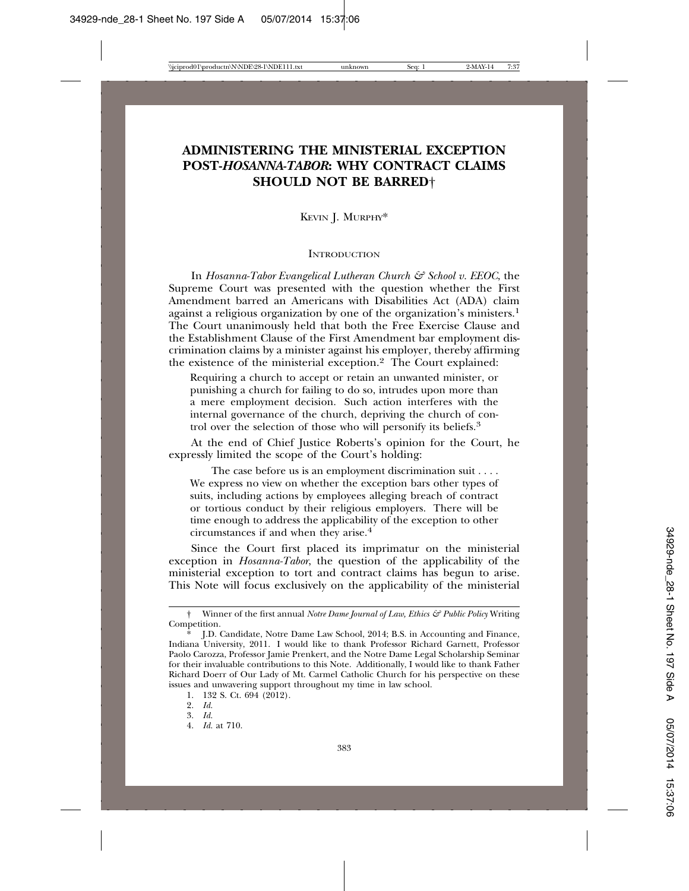# **ADMINISTERING THE MINISTERIAL EXCEPTION POST-***HOSANNA-TABOR***: WHY CONTRACT CLAIMS SHOULD NOT BE BARRED**†

KEVIN J. MURPHY\*

#### **INTRODUCTION**

In *Hosanna-Tabor Evangelical Lutheran Church & School v. EEOC*, the Supreme Court was presented with the question whether the First Amendment barred an Americans with Disabilities Act (ADA) claim against a religious organization by one of the organization's ministers.1 The Court unanimously held that both the Free Exercise Clause and the Establishment Clause of the First Amendment bar employment discrimination claims by a minister against his employer, thereby affirming the existence of the ministerial exception.2 The Court explained:

Requiring a church to accept or retain an unwanted minister, or punishing a church for failing to do so, intrudes upon more than a mere employment decision. Such action interferes with the internal governance of the church, depriving the church of control over the selection of those who will personify its beliefs.<sup>3</sup>

At the end of Chief Justice Roberts's opinion for the Court, he expressly limited the scope of the Court's holding:

The case before us is an employment discrimination suit . . . . We express no view on whether the exception bars other types of suits, including actions by employees alleging breach of contract or tortious conduct by their religious employers. There will be time enough to address the applicability of the exception to other circumstances if and when they arise.4

Since the Court first placed its imprimatur on the ministerial exception in *Hosanna-Tabor*, the question of the applicability of the ministerial exception to tort and contract claims has begun to arise. This Note will focus exclusively on the applicability of the ministerial

<sup>†</sup> Winner of the first annual *Notre Dame Journal of Law, Ethics & Public Policy* Writing Competition.

J.D. Candidate, Notre Dame Law School, 2014; B.S. in Accounting and Finance, Indiana University, 2011. I would like to thank Professor Richard Garnett, Professor Paolo Carozza, Professor Jamie Prenkert, and the Notre Dame Legal Scholarship Seminar for their invaluable contributions to this Note. Additionally, I would like to thank Father Richard Doerr of Our Lady of Mt. Carmel Catholic Church for his perspective on these issues and unwavering support throughout my time in law school.

<sup>1. 132</sup> S. Ct. 694 (2012).

<sup>2.</sup> *Id.*

<sup>3.</sup> *Id.*

<sup>4.</sup> *Id.* at 710.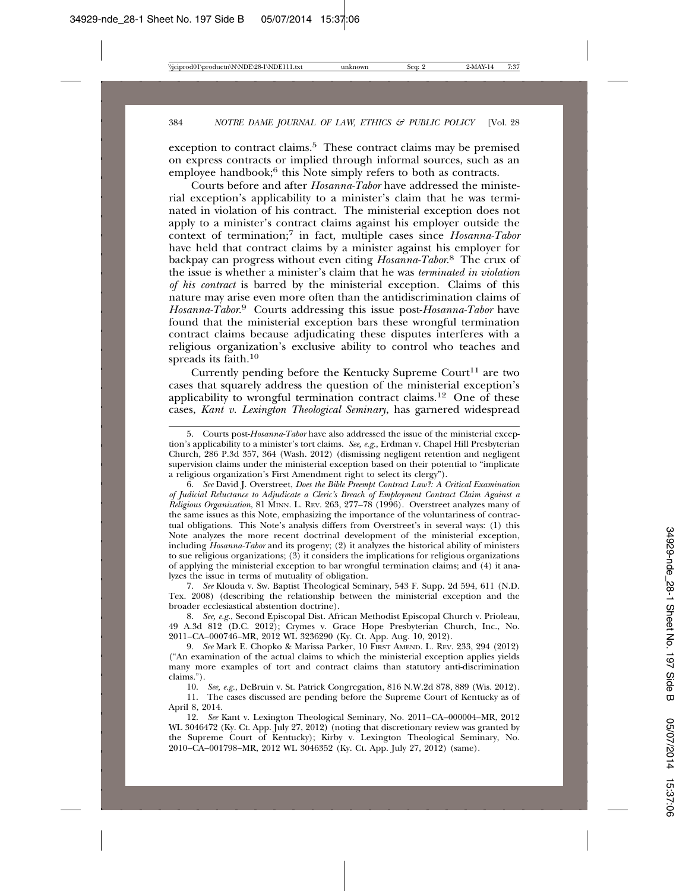exception to contract claims.<sup>5</sup> These contract claims may be premised on express contracts or implied through informal sources, such as an employee handbook; $6$  this Note simply refers to both as contracts.

Courts before and after *Hosanna-Tabor* have addressed the ministerial exception's applicability to a minister's claim that he was terminated in violation of his contract. The ministerial exception does not apply to a minister's contract claims against his employer outside the context of termination;7 in fact, multiple cases since *Hosanna-Tabor* have held that contract claims by a minister against his employer for backpay can progress without even citing *Hosanna-Tabor*. 8 The crux of the issue is whether a minister's claim that he was *terminated in violation of his contract* is barred by the ministerial exception. Claims of this nature may arise even more often than the antidiscrimination claims of *Hosanna-Tabor*. 9 Courts addressing this issue post-*Hosanna-Tabor* have found that the ministerial exception bars these wrongful termination contract claims because adjudicating these disputes interferes with a religious organization's exclusive ability to control who teaches and spreads its faith.10

Currently pending before the Kentucky Supreme Court<sup>11</sup> are two cases that squarely address the question of the ministerial exception's applicability to wrongful termination contract claims.<sup>12</sup> One of these cases, *Kant v. Lexington Theological Seminary*, has garnered widespread

7. *See* Klouda v. Sw. Baptist Theological Seminary, 543 F. Supp. 2d 594, 611 (N.D. Tex. 2008) (describing the relationship between the ministerial exception and the broader ecclesiastical abstention doctrine).

8. *See, e.g.*, Second Episcopal Dist. African Methodist Episcopal Church v. Prioleau, 49 A.3d 812 (D.C. 2012); Crymes v. Grace Hope Presbyterian Church, Inc., No. 2011–CA–000746–MR, 2012 WL 3236290 (Ky. Ct. App. Aug. 10, 2012).

10. *See, e.g.*, DeBruin v. St. Patrick Congregation, 816 N.W.2d 878, 889 (Wis. 2012).

<sup>5.</sup> Courts post-*Hosanna-Tabor* have also addressed the issue of the ministerial exception's applicability to a minister's tort claims. *See, e.g.*, Erdman v. Chapel Hill Presbyterian Church, 286 P.3d 357, 364 (Wash. 2012) (dismissing negligent retention and negligent supervision claims under the ministerial exception based on their potential to "implicate a religious organization's First Amendment right to select its clergy").

<sup>6.</sup> *See* David J. Overstreet, *Does the Bible Preempt Contract Law?: A Critical Examination of Judicial Reluctance to Adjudicate a Cleric's Breach of Employment Contract Claim Against a Religious Organization*, 81 MINN. L. REV. 263, 277–78 (1996). Overstreet analyzes many of the same issues as this Note, emphasizing the importance of the voluntariness of contractual obligations. This Note's analysis differs from Overstreet's in several ways: (1) this Note analyzes the more recent doctrinal development of the ministerial exception, including *Hosanna-Tabor* and its progeny; (2) it analyzes the historical ability of ministers to sue religious organizations; (3) it considers the implications for religious organizations of applying the ministerial exception to bar wrongful termination claims; and (4) it analyzes the issue in terms of mutuality of obligation.

<sup>9.</sup> *See* Mark E. Chopko & Marissa Parker, 10 FIRST AMEND. L. REV. 233, 294 (2012) ("An examination of the actual claims to which the ministerial exception applies yields many more examples of tort and contract claims than statutory anti-discrimination claims.").

<sup>11.</sup> The cases discussed are pending before the Supreme Court of Kentucky as of April 8, 2014.

<sup>12.</sup> *See* Kant v. Lexington Theological Seminary, No. 2011–CA–000004–MR, 2012 WL 3046472 (Ky. Ct. App. July 27, 2012) (noting that discretionary review was granted by the Supreme Court of Kentucky); Kirby v. Lexington Theological Seminary, No. 2010–CA–001798–MR, 2012 WL 3046352 (Ky. Ct. App. July 27, 2012) (same).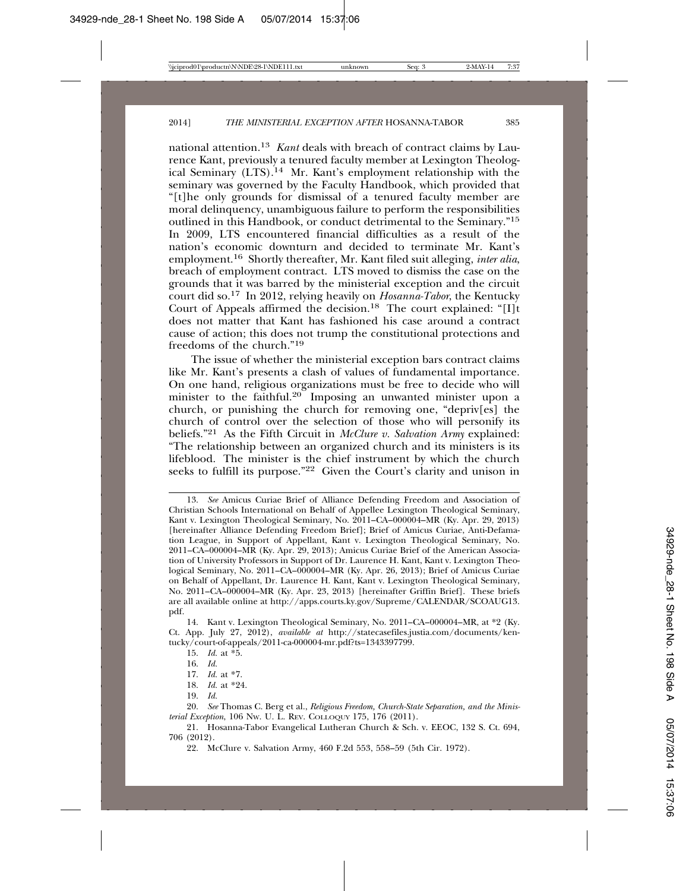national attention.13 *Kant* deals with breach of contract claims by Laurence Kant, previously a tenured faculty member at Lexington Theological Seminary (LTS).14 Mr. Kant's employment relationship with the seminary was governed by the Faculty Handbook, which provided that "[t]he only grounds for dismissal of a tenured faculty member are moral delinquency, unambiguous failure to perform the responsibilities outlined in this Handbook, or conduct detrimental to the Seminary."15 In 2009, LTS encountered financial difficulties as a result of the nation's economic downturn and decided to terminate Mr. Kant's employment.16 Shortly thereafter, Mr. Kant filed suit alleging, *inter alia*, breach of employment contract. LTS moved to dismiss the case on the grounds that it was barred by the ministerial exception and the circuit court did so.17 In 2012, relying heavily on *Hosanna-Tabor*, the Kentucky Court of Appeals affirmed the decision.<sup>18</sup> The court explained: " $[I]t$ does not matter that Kant has fashioned his case around a contract cause of action; this does not trump the constitutional protections and freedoms of the church."19

The issue of whether the ministerial exception bars contract claims like Mr. Kant's presents a clash of values of fundamental importance. On one hand, religious organizations must be free to decide who will minister to the faithful.<sup>20</sup> Imposing an unwanted minister upon a church, or punishing the church for removing one, "depriv[es] the church of control over the selection of those who will personify its beliefs."21 As the Fifth Circuit in *McClure v. Salvation Army* explained: "The relationship between an organized church and its ministers is its lifeblood. The minister is the chief instrument by which the church seeks to fulfill its purpose."22 Given the Court's clarity and unison in

18. *Id.* at \*24.

<sup>13.</sup> *See* Amicus Curiae Brief of Alliance Defending Freedom and Association of Christian Schools International on Behalf of Appellee Lexington Theological Seminary, Kant v. Lexington Theological Seminary, No. 2011–CA–000004–MR (Ky. Apr. 29, 2013) [hereinafter Alliance Defending Freedom Brief]; Brief of Amicus Curiae, Anti-Defamation League, in Support of Appellant, Kant v. Lexington Theological Seminary, No. 2011–CA–000004–MR (Ky. Apr. 29, 2013); Amicus Curiae Brief of the American Association of University Professors in Support of Dr. Laurence H. Kant, Kant v. Lexington Theological Seminary, No. 2011–CA–000004–MR (Ky. Apr. 26, 2013); Brief of Amicus Curiae on Behalf of Appellant, Dr. Laurence H. Kant, Kant v. Lexington Theological Seminary, No. 2011–CA–000004–MR (Ky. Apr. 23, 2013) [hereinafter Griffin Brief]. These briefs are all available online at http://apps.courts.ky.gov/Supreme/CALENDAR/SCOAUG13. pdf.

<sup>14.</sup> Kant v. Lexington Theological Seminary, No. 2011–CA–000004–MR, at \*2 (Ky. Ct. App. July 27, 2012), *available at* http://statecasefiles.justia.com/documents/kentucky/court-of-appeals/2011-ca-000004-mr.pdf?ts=1343397799.

<sup>15.</sup> *Id.* at \*5.

<sup>16.</sup> *Id.*

<sup>17.</sup> *Id.* at \*7.

<sup>19.</sup> *Id.*

<sup>20.</sup> *See* Thomas C. Berg et al., *Religious Freedom, Church-State Separation, and the Ministerial Exception*, 106 NW. U. L. REV. COLLOQUY 175, 176 (2011).

<sup>21.</sup> Hosanna-Tabor Evangelical Lutheran Church & Sch. v. EEOC, 132 S. Ct. 694, 706 (2012).

<sup>22.</sup> McClure v. Salvation Army, 460 F.2d 553, 558–59 (5th Cir. 1972).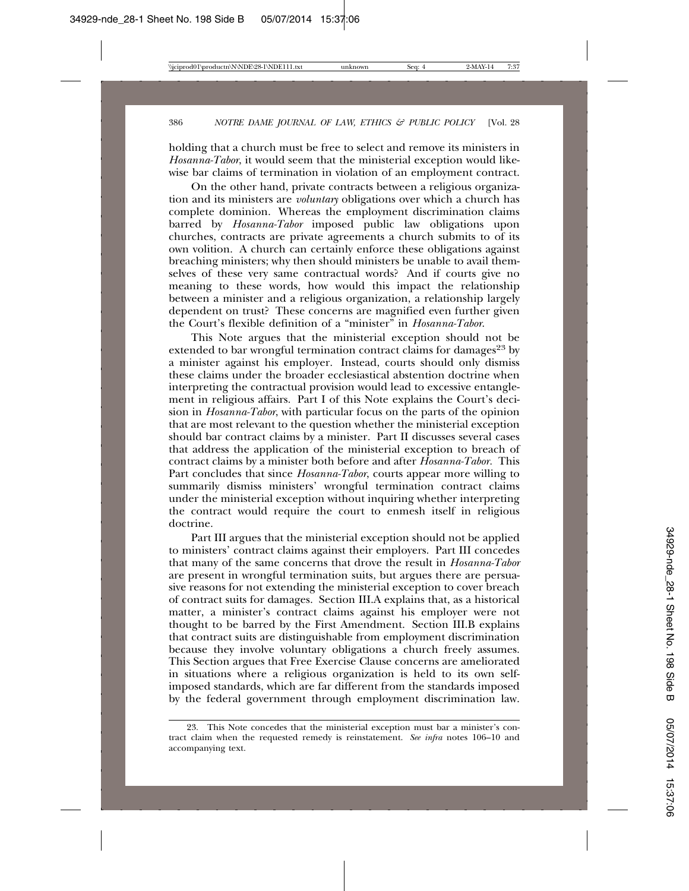holding that a church must be free to select and remove its ministers in *Hosanna-Tabor*, it would seem that the ministerial exception would likewise bar claims of termination in violation of an employment contract.

On the other hand, private contracts between a religious organization and its ministers are *voluntary* obligations over which a church has complete dominion. Whereas the employment discrimination claims barred by *Hosanna-Tabor* imposed public law obligations upon churches, contracts are private agreements a church submits to of its own volition. A church can certainly enforce these obligations against breaching ministers; why then should ministers be unable to avail themselves of these very same contractual words? And if courts give no meaning to these words, how would this impact the relationship between a minister and a religious organization, a relationship largely dependent on trust? These concerns are magnified even further given the Court's flexible definition of a "minister" in *Hosanna-Tabor*.

This Note argues that the ministerial exception should not be extended to bar wrongful termination contract claims for damages<sup>23</sup> by a minister against his employer. Instead, courts should only dismiss these claims under the broader ecclesiastical abstention doctrine when interpreting the contractual provision would lead to excessive entanglement in religious affairs. Part I of this Note explains the Court's decision in *Hosanna-Tabor*, with particular focus on the parts of the opinion that are most relevant to the question whether the ministerial exception should bar contract claims by a minister. Part II discusses several cases that address the application of the ministerial exception to breach of contract claims by a minister both before and after *Hosanna-Tabor.* This Part concludes that since *Hosanna-Tabor*, courts appear more willing to summarily dismiss ministers' wrongful termination contract claims under the ministerial exception without inquiring whether interpreting the contract would require the court to enmesh itself in religious doctrine.

Part III argues that the ministerial exception should not be applied to ministers' contract claims against their employers. Part III concedes that many of the same concerns that drove the result in *Hosanna-Tabor* are present in wrongful termination suits, but argues there are persuasive reasons for not extending the ministerial exception to cover breach of contract suits for damages. Section III.A explains that, as a historical matter, a minister's contract claims against his employer were not thought to be barred by the First Amendment. Section III.B explains that contract suits are distinguishable from employment discrimination because they involve voluntary obligations a church freely assumes. This Section argues that Free Exercise Clause concerns are ameliorated in situations where a religious organization is held to its own selfimposed standards, which are far different from the standards imposed by the federal government through employment discrimination law.

<sup>23.</sup> This Note concedes that the ministerial exception must bar a minister's contract claim when the requested remedy is reinstatement. *See infra* notes 106–10 and accompanying text.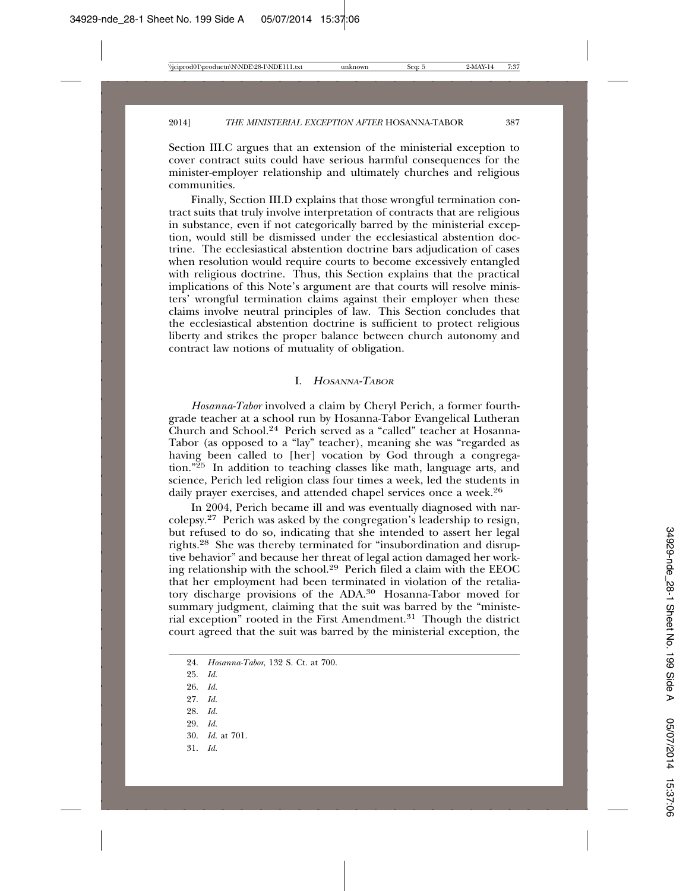Section III.C argues that an extension of the ministerial exception to cover contract suits could have serious harmful consequences for the minister-employer relationship and ultimately churches and religious communities.

Finally, Section III.D explains that those wrongful termination contract suits that truly involve interpretation of contracts that are religious in substance, even if not categorically barred by the ministerial exception, would still be dismissed under the ecclesiastical abstention doctrine. The ecclesiastical abstention doctrine bars adjudication of cases when resolution would require courts to become excessively entangled with religious doctrine. Thus, this Section explains that the practical implications of this Note's argument are that courts will resolve ministers' wrongful termination claims against their employer when these claims involve neutral principles of law. This Section concludes that the ecclesiastical abstention doctrine is sufficient to protect religious liberty and strikes the proper balance between church autonomy and contract law notions of mutuality of obligation.

#### I. <sup>H</sup>OSANNA-TABOR

*Hosanna-Tabor* involved a claim by Cheryl Perich, a former fourthgrade teacher at a school run by Hosanna-Tabor Evangelical Lutheran Church and School.24 Perich served as a "called" teacher at Hosanna-Tabor (as opposed to a "lay" teacher), meaning she was "regarded as having been called to [her] vocation by God through a congregation."25 In addition to teaching classes like math, language arts, and science, Perich led religion class four times a week, led the students in daily prayer exercises, and attended chapel services once a week.<sup>26</sup>

In 2004, Perich became ill and was eventually diagnosed with narcolepsy.27 Perich was asked by the congregation's leadership to resign, but refused to do so, indicating that she intended to assert her legal rights.28 She was thereby terminated for "insubordination and disruptive behavior" and because her threat of legal action damaged her working relationship with the school.29 Perich filed a claim with the EEOC that her employment had been terminated in violation of the retaliatory discharge provisions of the ADA.<sup>30</sup> Hosanna-Tabor moved for summary judgment, claiming that the suit was barred by the "ministerial exception" rooted in the First Amendment.31 Though the district court agreed that the suit was barred by the ministerial exception, the

- 25. *Id.*
- 26. *Id.*
- 27. *Id.*
- 28. *Id.*
- 29. *Id.*
- 30. *Id.* at 701.
- 31. *Id.*

<sup>24.</sup> *Hosanna-Tabor*, 132 S. Ct. at 700.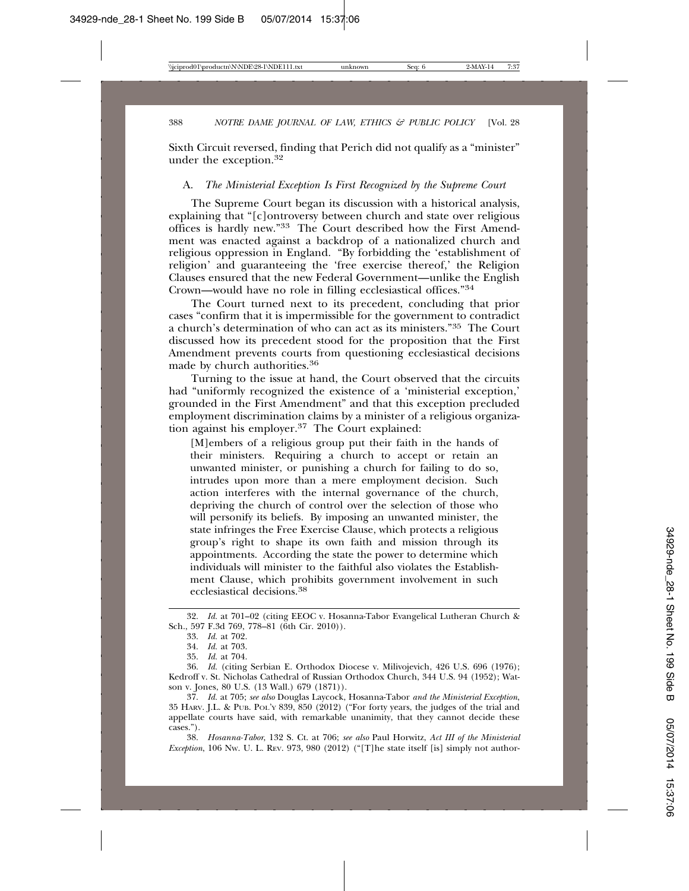Sixth Circuit reversed, finding that Perich did not qualify as a "minister" under the exception.32

#### A. *The Ministerial Exception Is First Recognized by the Supreme Court*

The Supreme Court began its discussion with a historical analysis, explaining that "[c]ontroversy between church and state over religious offices is hardly new."33 The Court described how the First Amendment was enacted against a backdrop of a nationalized church and religious oppression in England. "By forbidding the 'establishment of religion' and guaranteeing the 'free exercise thereof,' the Religion Clauses ensured that the new Federal Government—unlike the English Crown—would have no role in filling ecclesiastical offices."34

The Court turned next to its precedent, concluding that prior cases "confirm that it is impermissible for the government to contradict a church's determination of who can act as its ministers."35 The Court discussed how its precedent stood for the proposition that the First Amendment prevents courts from questioning ecclesiastical decisions made by church authorities.36

Turning to the issue at hand, the Court observed that the circuits had "uniformly recognized the existence of a 'ministerial exception.' grounded in the First Amendment" and that this exception precluded employment discrimination claims by a minister of a religious organization against his employer.37 The Court explained:

[M]embers of a religious group put their faith in the hands of their ministers. Requiring a church to accept or retain an unwanted minister, or punishing a church for failing to do so, intrudes upon more than a mere employment decision. Such action interferes with the internal governance of the church, depriving the church of control over the selection of those who will personify its beliefs. By imposing an unwanted minister, the state infringes the Free Exercise Clause, which protects a religious group's right to shape its own faith and mission through its appointments. According the state the power to determine which individuals will minister to the faithful also violates the Establishment Clause, which prohibits government involvement in such ecclesiastical decisions.38

38. *Hosanna-Tabor*, 132 S. Ct. at 706; *see also* Paul Horwitz, *Act III of the Ministerial Exception*, 106 Nw. U. L. REV. 973, 980 (2012) ("[T]he state itself [is] simply not author-

<sup>32.</sup> *Id.* at 701–02 (citing EEOC v. Hosanna-Tabor Evangelical Lutheran Church & Sch., 597 F.3d 769, 778–81 (6th Cir. 2010)).

<sup>33.</sup> *Id.* at 702.

<sup>34.</sup> *Id.* at 703.

<sup>35.</sup> *Id.* at 704.

<sup>36.</sup> *Id.* (citing Serbian E. Orthodox Diocese v. Milivojevich, 426 U.S. 696 (1976); Kedroff v. St. Nicholas Cathedral of Russian Orthodox Church, 344 U.S. 94 (1952); Watson v. Jones, 80 U.S. (13 Wall.) 679 (1871)).

<sup>37.</sup> *Id.* at 705; *see also* Douglas Laycock, Hosanna-Tabor *and the Ministerial Exception*, 35 HARV. J.L. & PUB. POL'Y 839, 850 (2012) ("For forty years, the judges of the trial and appellate courts have said, with remarkable unanimity, that they cannot decide these cases.").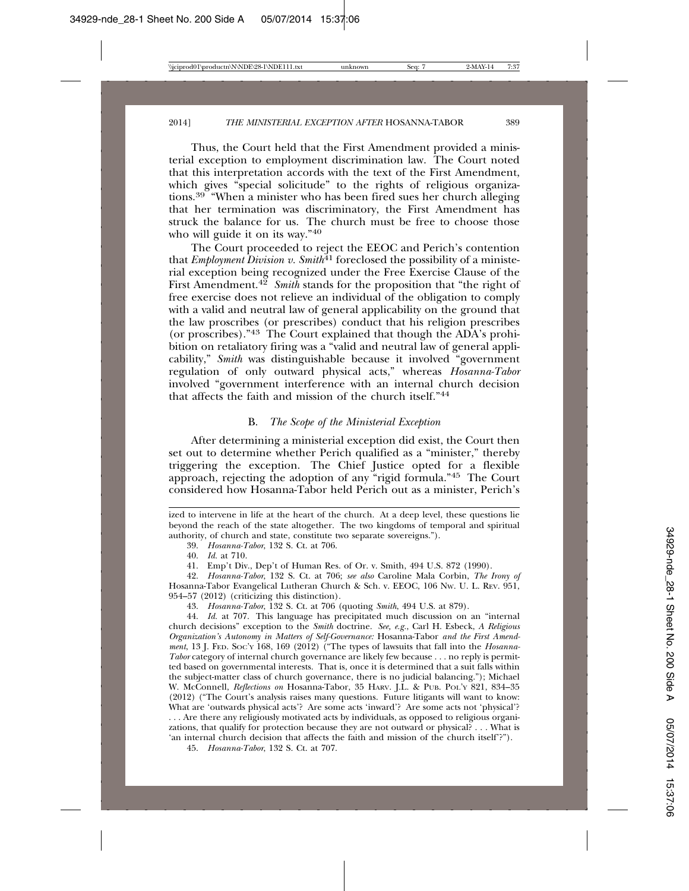Thus, the Court held that the First Amendment provided a ministerial exception to employment discrimination law. The Court noted that this interpretation accords with the text of the First Amendment, which gives "special solicitude" to the rights of religious organizations.39 "When a minister who has been fired sues her church alleging that her termination was discriminatory, the First Amendment has struck the balance for us. The church must be free to choose those who will guide it on its way."40

The Court proceeded to reject the EEOC and Perich's contention that *Employment Division v.* Smith<sup> $41$ </sup> foreclosed the possibility of a ministerial exception being recognized under the Free Exercise Clause of the First Amendment.<sup>42</sup> *Smith* stands for the proposition that "the right of free exercise does not relieve an individual of the obligation to comply with a valid and neutral law of general applicability on the ground that the law proscribes (or prescribes) conduct that his religion prescribes (or proscribes)."43 The Court explained that though the ADA's prohibition on retaliatory firing was a "valid and neutral law of general applicability," *Smith* was distinguishable because it involved "government regulation of only outward physical acts," whereas *Hosanna-Tabor* involved "government interference with an internal church decision that affects the faith and mission of the church itself."44

#### B. *The Scope of the Ministerial Exception*

After determining a ministerial exception did exist, the Court then set out to determine whether Perich qualified as a "minister," thereby triggering the exception. The Chief Justice opted for a flexible approach, rejecting the adoption of any "rigid formula."45 The Court considered how Hosanna-Tabor held Perich out as a minister, Perich's

40. *Id.* at 710.

41. Emp't Div., Dep't of Human Res. of Or. v. Smith, 494 U.S. 872 (1990).

42. *Hosanna-Tabor*, 132 S. Ct. at 706; *see also* Caroline Mala Corbin, *The Irony of* Hosanna-Tabor Evangelical Lutheran Church & Sch. v. EEOC, 106 NW. U. L. REV. 951, 954–57 (2012) (criticizing this distinction).

43. *Hosanna-Tabor*, 132 S. Ct. at 706 (quoting *Smith*, 494 U.S. at 879).

44. *Id.* at 707. This language has precipitated much discussion on an "internal church decisions" exception to the *Smith* doctrine. *See, e.g.*, Carl H. Esbeck, *A Religious Organization's Autonomy in Matters of Self-Governance:* Hosanna-Tabor *and the First Amendment*, 13 J. FED. SOC'Y 168, 169 (2012) ("The types of lawsuits that fall into the *Hosanna-Tabor* category of internal church governance are likely few because . . . no reply is permitted based on governmental interests. That is, once it is determined that a suit falls within the subject-matter class of church governance, there is no judicial balancing."); Michael W. McConnell, *Reflections on* Hosanna-Tabor, 35 HARV. J.L. & PUB. POL'Y 821, 834–35 (2012) ("The Court's analysis raises many questions. Future litigants will want to know: What are 'outwards physical acts'? Are some acts 'inward'? Are some acts not 'physical'? . . . Are there any religiously motivated acts by individuals, as opposed to religious organizations, that qualify for protection because they are not outward or physical? . . . What is 'an internal church decision that affects the faith and mission of the church itself'?").

45. *Hosanna-Tabor*, 132 S. Ct. at 707.

ized to intervene in life at the heart of the church. At a deep level, these questions lie beyond the reach of the state altogether. The two kingdoms of temporal and spiritual authority, of church and state, constitute two separate sovereigns.").

<sup>39.</sup> *Hosanna-Tabor*, 132 S. Ct. at 706.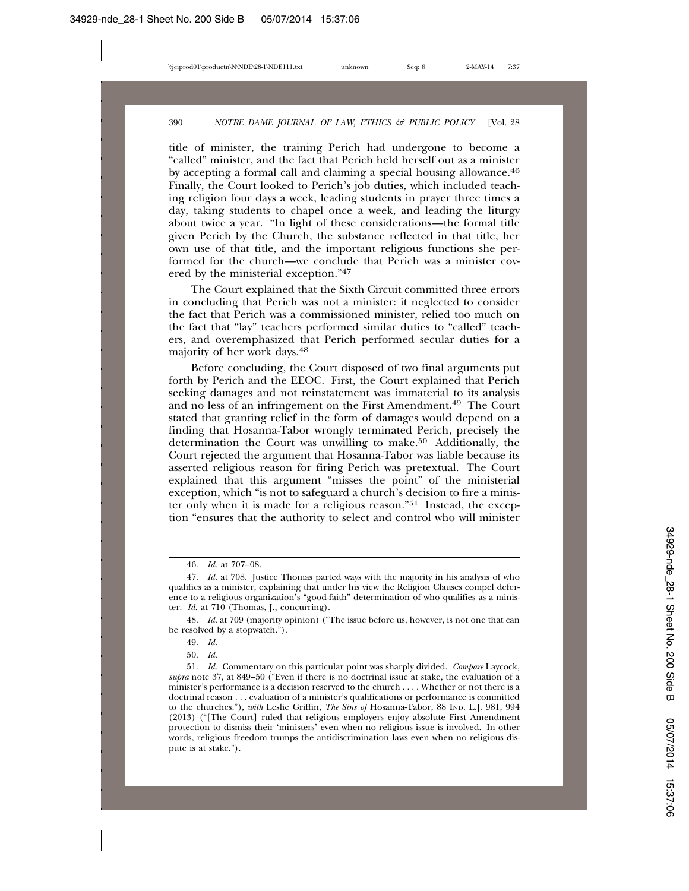title of minister, the training Perich had undergone to become a "called" minister, and the fact that Perich held herself out as a minister by accepting a formal call and claiming a special housing allowance.46 Finally, the Court looked to Perich's job duties, which included teaching religion four days a week, leading students in prayer three times a day, taking students to chapel once a week, and leading the liturgy about twice a year. "In light of these considerations—the formal title given Perich by the Church, the substance reflected in that title, her own use of that title, and the important religious functions she performed for the church—we conclude that Perich was a minister covered by the ministerial exception."47

The Court explained that the Sixth Circuit committed three errors in concluding that Perich was not a minister: it neglected to consider the fact that Perich was a commissioned minister, relied too much on the fact that "lay" teachers performed similar duties to "called" teachers, and overemphasized that Perich performed secular duties for a majority of her work days.48

Before concluding, the Court disposed of two final arguments put forth by Perich and the EEOC. First, the Court explained that Perich seeking damages and not reinstatement was immaterial to its analysis and no less of an infringement on the First Amendment.49 The Court stated that granting relief in the form of damages would depend on a finding that Hosanna-Tabor wrongly terminated Perich, precisely the determination the Court was unwilling to make.<sup>50</sup> Additionally, the Court rejected the argument that Hosanna-Tabor was liable because its asserted religious reason for firing Perich was pretextual. The Court explained that this argument "misses the point" of the ministerial exception, which "is not to safeguard a church's decision to fire a minister only when it is made for a religious reason."51 Instead, the exception "ensures that the authority to select and control who will minister

48. *Id.* at 709 (majority opinion) ("The issue before us, however, is not one that can be resolved by a stopwatch.").

50. *Id.*

<sup>46.</sup> *Id.* at 707–08.

<sup>47.</sup> *Id.* at 708. Justice Thomas parted ways with the majority in his analysis of who qualifies as a minister, explaining that under his view the Religion Clauses compel deference to a religious organization's "good-faith" determination of who qualifies as a minister. *Id.* at 710 (Thomas, J., concurring).

<sup>49.</sup> *Id.*

<sup>51.</sup> *Id.* Commentary on this particular point was sharply divided. *Compare* Laycock, *supra* note 37, at 849–50 ("Even if there is no doctrinal issue at stake, the evaluation of a minister's performance is a decision reserved to the church . . . . Whether or not there is a doctrinal reason . . . evaluation of a minister's qualifications or performance is committed to the churches."), *with* Leslie Griffin, *The Sins of* Hosanna-Tabor, 88 IND. L.J. 981, 994 (2013) ("[The Court] ruled that religious employers enjoy absolute First Amendment protection to dismiss their 'ministers' even when no religious issue is involved. In other words, religious freedom trumps the antidiscrimination laws even when no religious dispute is at stake.").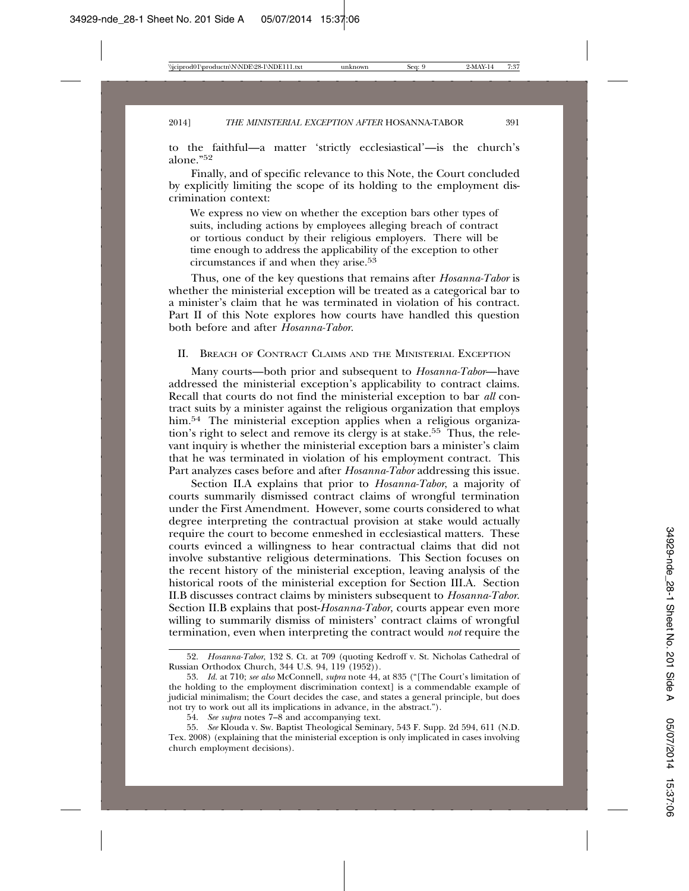to the faithful—a matter 'strictly ecclesiastical'—is the church's alone."<sup>52</sup>

Finally, and of specific relevance to this Note, the Court concluded by explicitly limiting the scope of its holding to the employment discrimination context:

We express no view on whether the exception bars other types of suits, including actions by employees alleging breach of contract or tortious conduct by their religious employers. There will be time enough to address the applicability of the exception to other circumstances if and when they arise.53

Thus, one of the key questions that remains after *Hosanna-Tabor* is whether the ministerial exception will be treated as a categorical bar to a minister's claim that he was terminated in violation of his contract. Part II of this Note explores how courts have handled this question both before and after *Hosanna-Tabor*.

### II. BREACH OF CONTRACT CLAIMS AND THE MINISTERIAL EXCEPTION

Many courts—both prior and subsequent to *Hosanna-Tabor*—have addressed the ministerial exception's applicability to contract claims. Recall that courts do not find the ministerial exception to bar *all* contract suits by a minister against the religious organization that employs him.<sup>54</sup> The ministerial exception applies when a religious organization's right to select and remove its clergy is at stake.55 Thus, the relevant inquiry is whether the ministerial exception bars a minister's claim that he was terminated in violation of his employment contract. This Part analyzes cases before and after *Hosanna-Tabor* addressing this issue.

Section II.A explains that prior to *Hosanna-Tabor*, a majority of courts summarily dismissed contract claims of wrongful termination under the First Amendment. However, some courts considered to what degree interpreting the contractual provision at stake would actually require the court to become enmeshed in ecclesiastical matters. These courts evinced a willingness to hear contractual claims that did not involve substantive religious determinations. This Section focuses on the recent history of the ministerial exception, leaving analysis of the historical roots of the ministerial exception for Section III.A. Section II.B discusses contract claims by ministers subsequent to *Hosanna-Tabor*. Section II.B explains that post-*Hosanna-Tabor*, courts appear even more willing to summarily dismiss of ministers' contract claims of wrongful termination, even when interpreting the contract would *not* require the

<sup>52.</sup> *Hosanna-Tabor*, 132 S. Ct. at 709 (quoting Kedroff v. St. Nicholas Cathedral of Russian Orthodox Church, 344 U.S. 94, 119 (1952)).

<sup>53.</sup> *Id.* at 710; *see also* McConnell, *supra* note 44, at 835 ("[The Court's limitation of the holding to the employment discrimination context] is a commendable example of judicial minimalism; the Court decides the case, and states a general principle, but does not try to work out all its implications in advance, in the abstract.").

<sup>54.</sup> *See supra* notes 7–8 and accompanying text.

<sup>55.</sup> *See* Klouda v. Sw. Baptist Theological Seminary, 543 F. Supp. 2d 594, 611 (N.D. Tex. 2008) (explaining that the ministerial exception is only implicated in cases involving church employment decisions).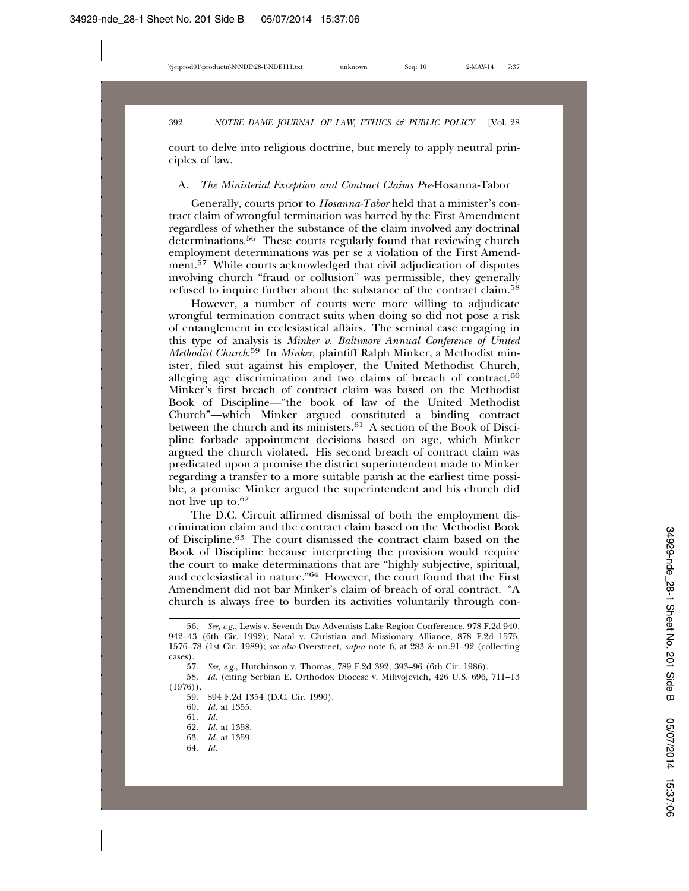court to delve into religious doctrine, but merely to apply neutral principles of law.

#### A. *The Ministerial Exception and Contract Claims Pre-*Hosanna-Tabor

Generally, courts prior to *Hosanna-Tabor* held that a minister's contract claim of wrongful termination was barred by the First Amendment regardless of whether the substance of the claim involved any doctrinal determinations.<sup>56</sup> These courts regularly found that reviewing church employment determinations was per se a violation of the First Amendment.<sup>57</sup> While courts acknowledged that civil adjudication of disputes involving church "fraud or collusion" was permissible, they generally refused to inquire further about the substance of the contract claim.58

However, a number of courts were more willing to adjudicate wrongful termination contract suits when doing so did not pose a risk of entanglement in ecclesiastical affairs. The seminal case engaging in this type of analysis is *Minker v. Baltimore Annual Conference of United Methodist Church*. 59 In *Minker*, plaintiff Ralph Minker, a Methodist minister, filed suit against his employer, the United Methodist Church, alleging age discrimination and two claims of breach of contract. $60$ Minker's first breach of contract claim was based on the Methodist Book of Discipline—"the book of law of the United Methodist Church"—which Minker argued constituted a binding contract between the church and its ministers.<sup>61</sup> A section of the Book of Discipline forbade appointment decisions based on age, which Minker argued the church violated. His second breach of contract claim was predicated upon a promise the district superintendent made to Minker regarding a transfer to a more suitable parish at the earliest time possible, a promise Minker argued the superintendent and his church did not live up to.62

The D.C. Circuit affirmed dismissal of both the employment discrimination claim and the contract claim based on the Methodist Book of Discipline.63 The court dismissed the contract claim based on the Book of Discipline because interpreting the provision would require the court to make determinations that are "highly subjective, spiritual, and ecclesiastical in nature."64 However, the court found that the First Amendment did not bar Minker's claim of breach of oral contract. "A church is always free to burden its activities voluntarily through con-

60. *Id.* at 1355.

- 61. *Id.*
- 62. *Id.* at 1358.
- 63. *Id.* at 1359.
- 64. *Id.*

<sup>56.</sup> *See, e.g.*, Lewis v. Seventh Day Adventists Lake Region Conference, 978 F.2d 940, 942–43 (6th Cir. 1992); Natal v. Christian and Missionary Alliance, 878 F.2d 1575, 1576–78 (1st Cir. 1989); *see also* Overstreet, *supra* note 6, at 283 & nn.91–92 (collecting cases).

<sup>57.</sup> *See, e.g.*, Hutchinson v. Thomas, 789 F.2d 392, 393–96 (6th Cir. 1986).

<sup>58.</sup> *Id.* (citing Serbian E. Orthodox Diocese v. Milivojevich, 426 U.S. 696, 711–13  $(1976)$ .

<sup>59. 894</sup> F.2d 1354 (D.C. Cir. 1990).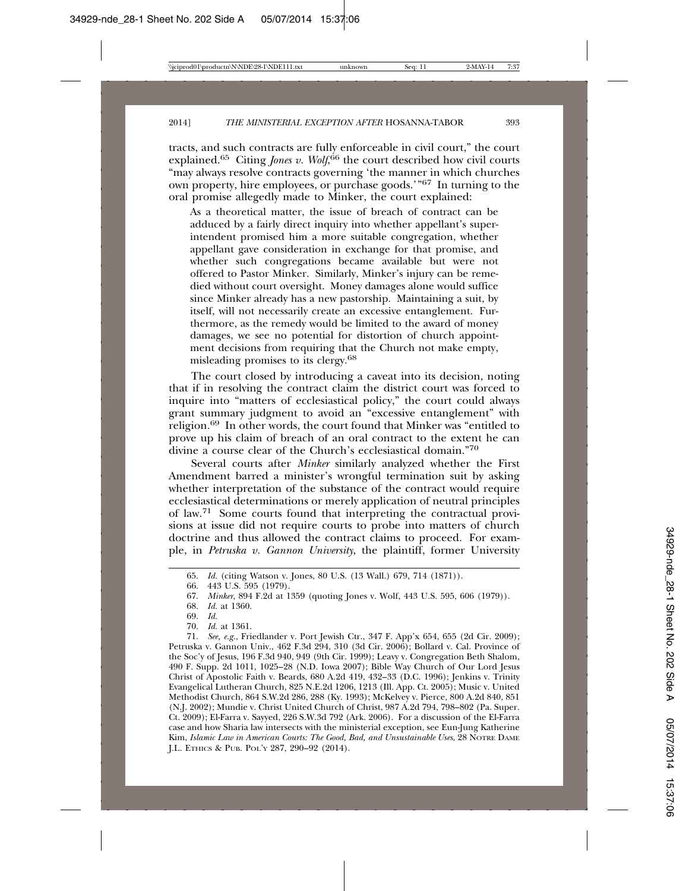tracts, and such contracts are fully enforceable in civil court," the court explained.<sup>65</sup> Citing *Jones v. Wolf*, 66 the court described how civil courts "may always resolve contracts governing 'the manner in which churches own property, hire employees, or purchase goods.'"67 In turning to the oral promise allegedly made to Minker, the court explained:

As a theoretical matter, the issue of breach of contract can be adduced by a fairly direct inquiry into whether appellant's superintendent promised him a more suitable congregation, whether appellant gave consideration in exchange for that promise, and whether such congregations became available but were not offered to Pastor Minker. Similarly, Minker's injury can be remedied without court oversight. Money damages alone would suffice since Minker already has a new pastorship. Maintaining a suit, by itself, will not necessarily create an excessive entanglement. Furthermore, as the remedy would be limited to the award of money damages, we see no potential for distortion of church appointment decisions from requiring that the Church not make empty, misleading promises to its clergy.68

The court closed by introducing a caveat into its decision, noting that if in resolving the contract claim the district court was forced to inquire into "matters of ecclesiastical policy," the court could always grant summary judgment to avoid an "excessive entanglement" with religion.69 In other words, the court found that Minker was "entitled to prove up his claim of breach of an oral contract to the extent he can divine a course clear of the Church's ecclesiastical domain."70

Several courts after *Minker* similarly analyzed whether the First Amendment barred a minister's wrongful termination suit by asking whether interpretation of the substance of the contract would require ecclesiastical determinations or merely application of neutral principles of law.71 Some courts found that interpreting the contractual provisions at issue did not require courts to probe into matters of church doctrine and thus allowed the contract claims to proceed. For example, in *Petruska v. Gannon University*, the plaintiff, former University

70. *Id.* at 1361.

71. *See, e.g.*, Friedlander v. Port Jewish Ctr., 347 F. App'x 654, 655 (2d Cir. 2009); Petruska v. Gannon Univ., 462 F.3d 294, 310 (3d Cir. 2006); Bollard v. Cal. Province of the Soc'y of Jesus, 196 F.3d 940, 949 (9th Cir. 1999); Leavy v. Congregation Beth Shalom, 490 F. Supp. 2d 1011, 1025–28 (N.D. Iowa 2007); Bible Way Church of Our Lord Jesus Christ of Apostolic Faith v. Beards, 680 A.2d 419, 432–33 (D.C. 1996); Jenkins v. Trinity Evangelical Lutheran Church, 825 N.E.2d 1206, 1213 (Ill. App. Ct. 2005); Music v. United Methodist Church, 864 S.W.2d 286, 288 (Ky. 1993); McKelvey v. Pierce, 800 A.2d 840, 851 (N.J. 2002); Mundie v. Christ United Church of Christ, 987 A.2d 794, 798–802 (Pa. Super. Ct. 2009); El-Farra v. Sayyed, 226 S.W.3d 792 (Ark. 2006). For a discussion of the El-Farra case and how Sharia law intersects with the ministerial exception, see Eun-Jung Katherine Kim, *Islamic Law in American Courts: The Good, Bad, and Unsustainable Uses*, 28 NOTRE DAME J.L. ETHICS & PUB. POL'Y 287, 290–92 (2014).

<sup>65.</sup> *Id.* (citing Watson v. Jones, 80 U.S. (13 Wall.) 679, 714 (1871)).

<sup>66. 443</sup> U.S. 595 (1979).

<sup>67.</sup> *Minker*, 894 F.2d at 1359 (quoting Jones v. Wolf, 443 U.S. 595, 606 (1979)).

<sup>68.</sup> *Id.* at 1360.

<sup>69.</sup> *Id.*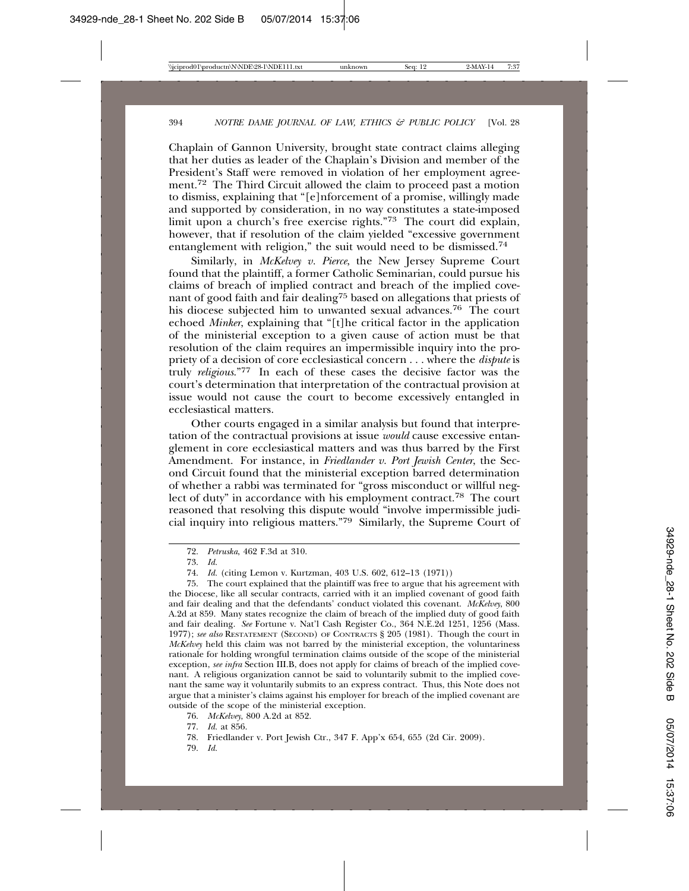Chaplain of Gannon University, brought state contract claims alleging that her duties as leader of the Chaplain's Division and member of the President's Staff were removed in violation of her employment agreement.<sup>72</sup> The Third Circuit allowed the claim to proceed past a motion to dismiss, explaining that "[e]nforcement of a promise, willingly made and supported by consideration, in no way constitutes a state-imposed limit upon a church's free exercise rights."73 The court did explain, however, that if resolution of the claim yielded "excessive government entanglement with religion," the suit would need to be dismissed.74

Similarly, in *McKelvey v. Pierce*, the New Jersey Supreme Court found that the plaintiff, a former Catholic Seminarian, could pursue his claims of breach of implied contract and breach of the implied covenant of good faith and fair dealing<sup>75</sup> based on allegations that priests of his diocese subjected him to unwanted sexual advances.<sup>76</sup> The court echoed *Minker*, explaining that "[t]he critical factor in the application of the ministerial exception to a given cause of action must be that resolution of the claim requires an impermissible inquiry into the propriety of a decision of core ecclesiastical concern . . . where the *dispute* is truly *religious*."77 In each of these cases the decisive factor was the court's determination that interpretation of the contractual provision at issue would not cause the court to become excessively entangled in ecclesiastical matters.

Other courts engaged in a similar analysis but found that interpretation of the contractual provisions at issue *would* cause excessive entanglement in core ecclesiastical matters and was thus barred by the First Amendment. For instance, in *Friedlander v. Port Jewish Center*, the Second Circuit found that the ministerial exception barred determination of whether a rabbi was terminated for "gross misconduct or willful neglect of duty" in accordance with his employment contract.<sup>78</sup> The court reasoned that resolving this dispute would "involve impermissible judicial inquiry into religious matters."79 Similarly, the Supreme Court of

76. *McKelvey*, 800 A.2d at 852.

<sup>72.</sup> *Petruska*, 462 F.3d at 310.

<sup>73.</sup> *Id.*

<sup>74.</sup> *Id.* (citing Lemon v. Kurtzman, 403 U.S. 602, 612–13 (1971))

<sup>75.</sup> The court explained that the plaintiff was free to argue that his agreement with the Diocese, like all secular contracts, carried with it an implied covenant of good faith and fair dealing and that the defendants' conduct violated this covenant. *McKelvey*, 800 A.2d at 859. Many states recognize the claim of breach of the implied duty of good faith and fair dealing. *See* Fortune v. Nat'l Cash Register Co., 364 N.E.2d 1251, 1256 (Mass. 1977); *see also* RESTATEMENT (SECOND) OF CONTRACTS § 205 (1981). Though the court in *McKelvey* held this claim was not barred by the ministerial exception, the voluntariness rationale for holding wrongful termination claims outside of the scope of the ministerial exception, *see infra* Section III.B, does not apply for claims of breach of the implied covenant. A religious organization cannot be said to voluntarily submit to the implied covenant the same way it voluntarily submits to an express contract. Thus, this Note does not argue that a minister's claims against his employer for breach of the implied covenant are outside of the scope of the ministerial exception.

<sup>77.</sup> *Id.* at 856.

<sup>78.</sup> Friedlander v. Port Jewish Ctr., 347 F. App'x 654, 655 (2d Cir. 2009).

<sup>79.</sup> *Id.*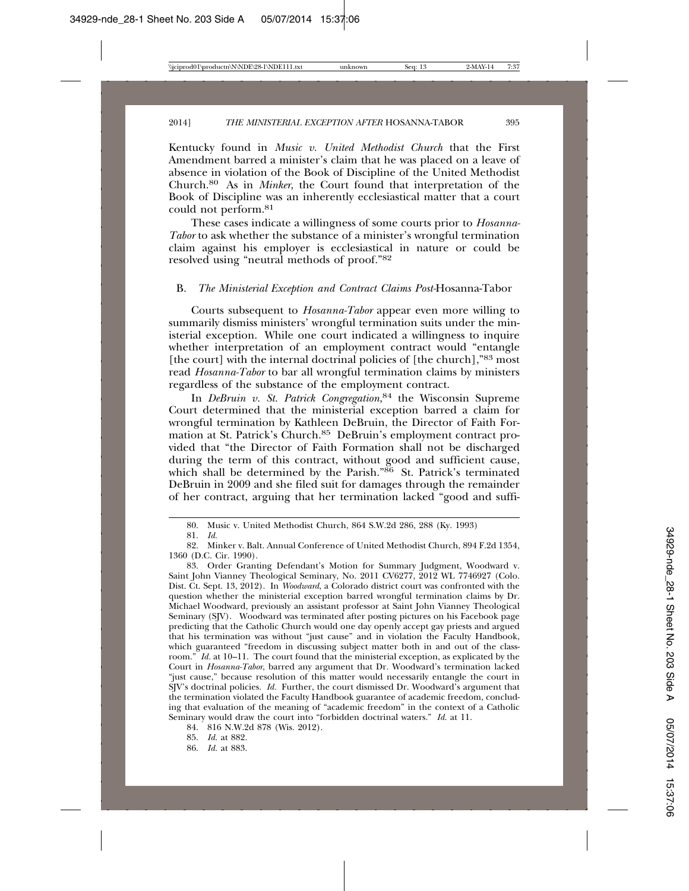Kentucky found in *Music v. United Methodist Church* that the First Amendment barred a minister's claim that he was placed on a leave of absence in violation of the Book of Discipline of the United Methodist Church.80 As in *Minker*, the Court found that interpretation of the Book of Discipline was an inherently ecclesiastical matter that a court could not perform.81

These cases indicate a willingness of some courts prior to *Hosanna-Tabor* to ask whether the substance of a minister's wrongful termination claim against his employer is ecclesiastical in nature or could be resolved using "neutral methods of proof."82

#### B. *The Ministerial Exception and Contract Claims Post-*Hosanna-Tabor

Courts subsequent to *Hosanna-Tabor* appear even more willing to summarily dismiss ministers' wrongful termination suits under the ministerial exception. While one court indicated a willingness to inquire whether interpretation of an employment contract would "entangle [the court] with the internal doctrinal policies of [the church],"83 most read *Hosanna-Tabor* to bar all wrongful termination claims by ministers regardless of the substance of the employment contract.

In *DeBruin v. St. Patrick Congregation*, 84 the Wisconsin Supreme Court determined that the ministerial exception barred a claim for wrongful termination by Kathleen DeBruin, the Director of Faith Formation at St. Patrick's Church.85 DeBruin's employment contract provided that "the Director of Faith Formation shall not be discharged during the term of this contract, without good and sufficient cause, which shall be determined by the Parish."86 St. Patrick's terminated DeBruin in 2009 and she filed suit for damages through the remainder of her contract, arguing that her termination lacked "good and suffi-

<sup>80.</sup> Music v. United Methodist Church, 864 S.W.2d 286, 288 (Ky. 1993)

<sup>81.</sup> *Id.*

<sup>82.</sup> Minker v. Balt. Annual Conference of United Methodist Church, 894 F.2d 1354, 1360 (D.C. Cir. 1990).

<sup>83.</sup> Order Granting Defendant's Motion for Summary Judgment, Woodward v. Saint John Vianney Theological Seminary, No. 2011 CV6277, 2012 WL 7746927 (Colo. Dist. Ct. Sept. 13, 2012). In *Woodward*, a Colorado district court was confronted with the question whether the ministerial exception barred wrongful termination claims by Dr. Michael Woodward, previously an assistant professor at Saint John Vianney Theological Seminary (SJV). Woodward was terminated after posting pictures on his Facebook page predicting that the Catholic Church would one day openly accept gay priests and argued that his termination was without "just cause" and in violation the Faculty Handbook, which guaranteed "freedom in discussing subject matter both in and out of the classroom." *Id.* at 10–11. The court found that the ministerial exception, as explicated by the Court in *Hosanna-Tabor*, barred any argument that Dr. Woodward's termination lacked "just cause," because resolution of this matter would necessarily entangle the court in SJV's doctrinal policies. *Id.* Further, the court dismissed Dr. Woodward's argument that the termination violated the Faculty Handbook guarantee of academic freedom, concluding that evaluation of the meaning of "academic freedom" in the context of a Catholic Seminary would draw the court into "forbidden doctrinal waters." *Id.* at 11.

<sup>84. 816</sup> N.W.2d 878 (Wis. 2012).

<sup>85.</sup> *Id.* at 882.

<sup>86.</sup> *Id.* at 883.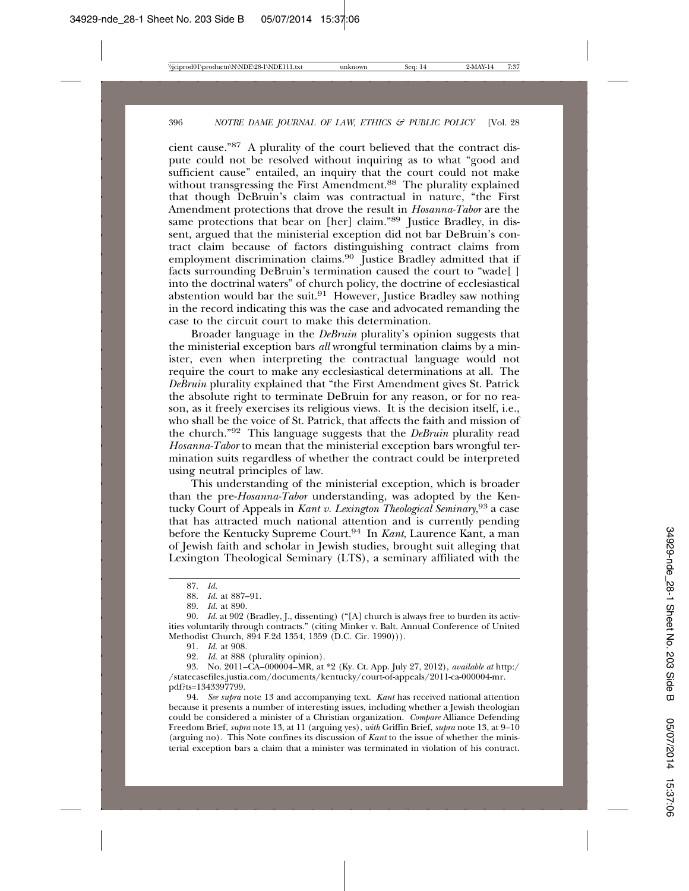cient cause."87 A plurality of the court believed that the contract dispute could not be resolved without inquiring as to what "good and sufficient cause" entailed, an inquiry that the court could not make without transgressing the First Amendment.<sup>88</sup> The plurality explained that though DeBruin's claim was contractual in nature, "the First Amendment protections that drove the result in *Hosanna-Tabor* are the same protections that bear on [her] claim."89 Justice Bradley, in dissent, argued that the ministerial exception did not bar DeBruin's contract claim because of factors distinguishing contract claims from employment discrimination claims.<sup>90</sup> Justice Bradley admitted that if facts surrounding DeBruin's termination caused the court to "wade[ ] into the doctrinal waters" of church policy, the doctrine of ecclesiastical abstention would bar the suit.<sup>91</sup> However, Justice Bradley saw nothing in the record indicating this was the case and advocated remanding the case to the circuit court to make this determination.

Broader language in the *DeBruin* plurality's opinion suggests that the ministerial exception bars *all* wrongful termination claims by a minister, even when interpreting the contractual language would not require the court to make any ecclesiastical determinations at all. The *DeBruin* plurality explained that "the First Amendment gives St. Patrick the absolute right to terminate DeBruin for any reason, or for no reason, as it freely exercises its religious views. It is the decision itself, i.e., who shall be the voice of St. Patrick, that affects the faith and mission of the church."92 This language suggests that the *DeBruin* plurality read *Hosanna-Tabor* to mean that the ministerial exception bars wrongful termination suits regardless of whether the contract could be interpreted using neutral principles of law.

This understanding of the ministerial exception, which is broader than the pre-*Hosanna-Tabor* understanding, was adopted by the Kentucky Court of Appeals in *Kant v. Lexington Theological Seminary*, 93 a case that has attracted much national attention and is currently pending before the Kentucky Supreme Court.94 In *Kant*, Laurence Kant, a man of Jewish faith and scholar in Jewish studies, brought suit alleging that Lexington Theological Seminary (LTS), a seminary affiliated with the

91. *Id.* at 908.

92. *Id.* at 888 (plurality opinion).

93. No. 2011–CA–000004–MR, at \*2 (Ky. Ct. App. July 27, 2012), *available at* http:/ /statecasefiles.justia.com/documents/kentucky/court-of-appeals/2011-ca-000004-mr. pdf?ts=1343397799.

94. *See supra* note 13 and accompanying text. *Kant* has received national attention because it presents a number of interesting issues, including whether a Jewish theologian could be considered a minister of a Christian organization. *Compare* Alliance Defending Freedom Brief, *supra* note 13, at 11 (arguing yes), *with* Griffin Brief, *supra* note 13, at 9–10 (arguing no). This Note confines its discussion of *Kant* to the issue of whether the ministerial exception bars a claim that a minister was terminated in violation of his contract.

<sup>87.</sup> *Id.*

<sup>88.</sup> *Id.* at 887–91.

<sup>89.</sup> *Id.* at 890.

<sup>90.</sup> *Id.* at 902 (Bradley, J., dissenting) ("[A] church is always free to burden its activities voluntarily through contracts." (citing Minker v. Balt. Annual Conference of United Methodist Church, 894 F.2d 1354, 1359 (D.C. Cir. 1990))).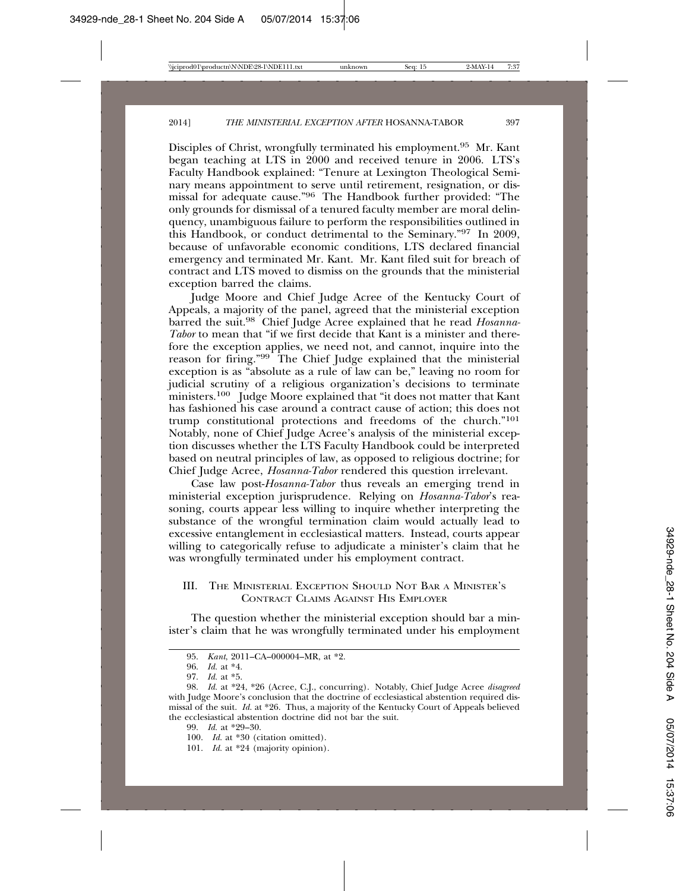Disciples of Christ, wrongfully terminated his employment.95 Mr. Kant began teaching at LTS in 2000 and received tenure in 2006. LTS's Faculty Handbook explained: "Tenure at Lexington Theological Seminary means appointment to serve until retirement, resignation, or dismissal for adequate cause."96 The Handbook further provided: "The only grounds for dismissal of a tenured faculty member are moral delinquency, unambiguous failure to perform the responsibilities outlined in this Handbook, or conduct detrimental to the Seminary."97 In 2009, because of unfavorable economic conditions, LTS declared financial emergency and terminated Mr. Kant. Mr. Kant filed suit for breach of contract and LTS moved to dismiss on the grounds that the ministerial exception barred the claims.

Judge Moore and Chief Judge Acree of the Kentucky Court of Appeals, a majority of the panel, agreed that the ministerial exception barred the suit.98 Chief Judge Acree explained that he read *Hosanna-Tabor* to mean that "if we first decide that Kant is a minister and therefore the exception applies, we need not, and cannot, inquire into the reason for firing." $99^{\degree}$  The Chief Judge explained that the ministerial exception is as "absolute as a rule of law can be," leaving no room for judicial scrutiny of a religious organization's decisions to terminate ministers.<sup>100</sup> Judge Moore explained that "it does not matter that Kant has fashioned his case around a contract cause of action; this does not trump constitutional protections and freedoms of the church."101 Notably, none of Chief Judge Acree's analysis of the ministerial exception discusses whether the LTS Faculty Handbook could be interpreted based on neutral principles of law, as opposed to religious doctrine; for Chief Judge Acree, *Hosanna-Tabor* rendered this question irrelevant.

Case law post-*Hosanna-Tabor* thus reveals an emerging trend in ministerial exception jurisprudence. Relying on *Hosanna-Tabor*'s reasoning, courts appear less willing to inquire whether interpreting the substance of the wrongful termination claim would actually lead to excessive entanglement in ecclesiastical matters. Instead, courts appear willing to categorically refuse to adjudicate a minister's claim that he was wrongfully terminated under his employment contract.

# III. THE MINISTERIAL EXCEPTION SHOULD NOT BAR A MINISTER'S CONTRACT CLAIMS AGAINST HIS EMPLOYER

The question whether the ministerial exception should bar a minister's claim that he was wrongfully terminated under his employment

<sup>95.</sup> *Kant*, 2011–CA–000004–MR, at \*2.

<sup>96.</sup> *Id.* at \*4.

<sup>97.</sup> *Id.* at \*5.

<sup>98.</sup> *Id.* at \*24, \*26 (Acree, C.J., concurring). Notably, Chief Judge Acree *disagreed* with Judge Moore's conclusion that the doctrine of ecclesiastical abstention required dismissal of the suit. *Id.* at \*26. Thus, a majority of the Kentucky Court of Appeals believed the ecclesiastical abstention doctrine did not bar the suit.

<sup>99.</sup> *Id.* at \*29–30.

<sup>100.</sup> *Id.* at \*30 (citation omitted).

<sup>101.</sup> *Id.* at \*24 (majority opinion).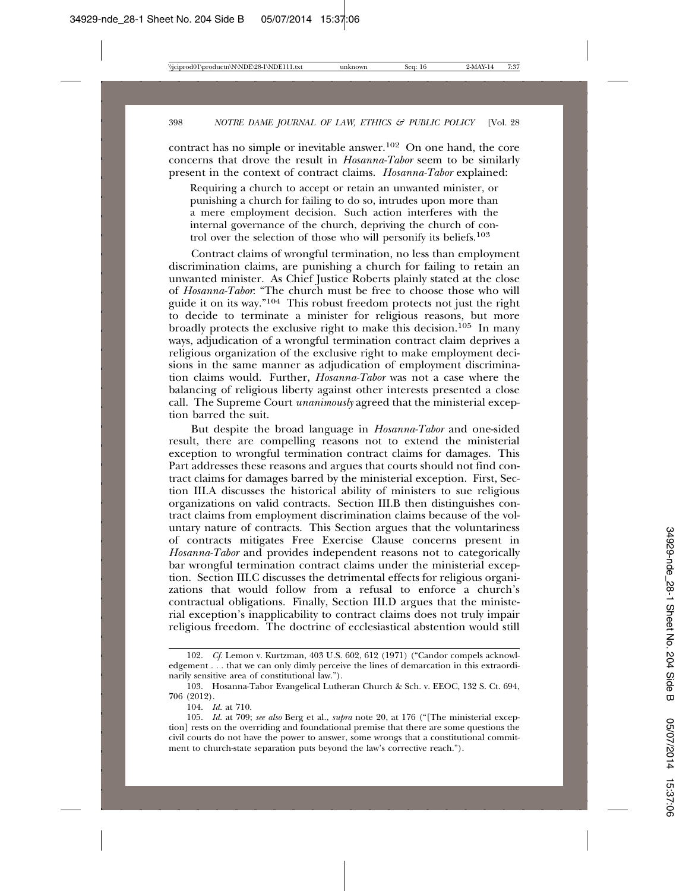contract has no simple or inevitable answer.102 On one hand, the core concerns that drove the result in *Hosanna-Tabor* seem to be similarly present in the context of contract claims. *Hosanna-Tabor* explained:

Requiring a church to accept or retain an unwanted minister, or punishing a church for failing to do so, intrudes upon more than a mere employment decision. Such action interferes with the internal governance of the church, depriving the church of control over the selection of those who will personify its beliefs.<sup>103</sup>

Contract claims of wrongful termination, no less than employment discrimination claims, are punishing a church for failing to retain an unwanted minister. As Chief Justice Roberts plainly stated at the close of *Hosanna-Tabor*: "The church must be free to choose those who will guide it on its way."104 This robust freedom protects not just the right to decide to terminate a minister for religious reasons, but more broadly protects the exclusive right to make this decision.<sup>105</sup> In many ways, adjudication of a wrongful termination contract claim deprives a religious organization of the exclusive right to make employment decisions in the same manner as adjudication of employment discrimination claims would. Further, *Hosanna-Tabor* was not a case where the balancing of religious liberty against other interests presented a close call. The Supreme Court *unanimously* agreed that the ministerial exception barred the suit.

But despite the broad language in *Hosanna-Tabor* and one-sided result, there are compelling reasons not to extend the ministerial exception to wrongful termination contract claims for damages. This Part addresses these reasons and argues that courts should not find contract claims for damages barred by the ministerial exception. First, Section III.A discusses the historical ability of ministers to sue religious organizations on valid contracts. Section III.B then distinguishes contract claims from employment discrimination claims because of the voluntary nature of contracts. This Section argues that the voluntariness of contracts mitigates Free Exercise Clause concerns present in *Hosanna-Tabor* and provides independent reasons not to categorically bar wrongful termination contract claims under the ministerial exception. Section III.C discusses the detrimental effects for religious organizations that would follow from a refusal to enforce a church's contractual obligations. Finally, Section III.D argues that the ministerial exception's inapplicability to contract claims does not truly impair religious freedom. The doctrine of ecclesiastical abstention would still

<sup>102.</sup> *Cf.* Lemon v. Kurtzman, 403 U.S. 602, 612 (1971) ("Candor compels acknowledgement . . . that we can only dimly perceive the lines of demarcation in this extraordinarily sensitive area of constitutional law.").

<sup>103.</sup> Hosanna-Tabor Evangelical Lutheran Church & Sch. v. EEOC, 132 S. Ct. 694, 706 (2012).

<sup>104.</sup> *Id.* at 710.

<sup>105.</sup> *Id.* at 709; *see also* Berg et al., *supra* note 20, at 176 ("[The ministerial exception] rests on the overriding and foundational premise that there are some questions the civil courts do not have the power to answer, some wrongs that a constitutional commitment to church-state separation puts beyond the law's corrective reach.").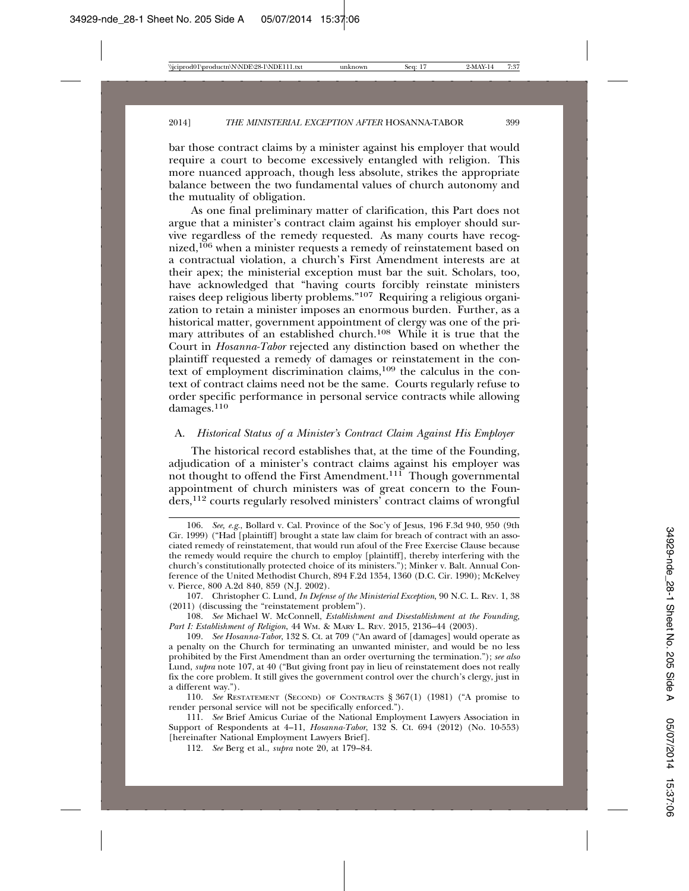bar those contract claims by a minister against his employer that would require a court to become excessively entangled with religion. This more nuanced approach, though less absolute, strikes the appropriate balance between the two fundamental values of church autonomy and the mutuality of obligation.

As one final preliminary matter of clarification, this Part does not argue that a minister's contract claim against his employer should survive regardless of the remedy requested. As many courts have recognized,<sup>106</sup> when a minister requests a remedy of reinstatement based on a contractual violation, a church's First Amendment interests are at their apex; the ministerial exception must bar the suit. Scholars, too, have acknowledged that "having courts forcibly reinstate ministers raises deep religious liberty problems."107 Requiring a religious organization to retain a minister imposes an enormous burden. Further, as a historical matter, government appointment of clergy was one of the primary attributes of an established church.<sup>108</sup> While it is true that the Court in *Hosanna-Tabor* rejected any distinction based on whether the plaintiff requested a remedy of damages or reinstatement in the context of employment discrimination claims,109 the calculus in the context of contract claims need not be the same. Courts regularly refuse to order specific performance in personal service contracts while allowing damages.<sup>110</sup>

## A. *Historical Status of a Minister's Contract Claim Against His Employer*

The historical record establishes that, at the time of the Founding, adjudication of a minister's contract claims against his employer was not thought to offend the First Amendment.<sup>111</sup> Though governmental appointment of church ministers was of great concern to the Founders,112 courts regularly resolved ministers' contract claims of wrongful

<sup>106.</sup> *See, e.g.*, Bollard v. Cal. Province of the Soc'y of Jesus, 196 F.3d 940, 950 (9th Cir. 1999) ("Had [plaintiff] brought a state law claim for breach of contract with an associated remedy of reinstatement, that would run afoul of the Free Exercise Clause because the remedy would require the church to employ [plaintiff], thereby interfering with the church's constitutionally protected choice of its ministers."); Minker v. Balt. Annual Conference of the United Methodist Church, 894 F.2d 1354, 1360 (D.C. Cir. 1990); McKelvey v. Pierce, 800 A.2d 840, 859 (N.J. 2002).

<sup>107.</sup> Christopher C. Lund, *In Defense of the Ministerial Exception*, 90 N.C. L. REV. 1, 38 (2011) (discussing the "reinstatement problem").

<sup>108.</sup> *See* Michael W. McConnell, *Establishment and Disestablishment at the Founding, Part I: Establishment of Religion*, 44 WM. & MARY L. REV. 2015, 2136–44 (2003).

<sup>109.</sup> *See Hosanna-Tabor*, 132 S. Ct. at 709 ("An award of [damages] would operate as a penalty on the Church for terminating an unwanted minister, and would be no less prohibited by the First Amendment than an order overturning the termination."); *see also* Lund, *supra* note 107, at 40 ("But giving front pay in lieu of reinstatement does not really fix the core problem. It still gives the government control over the church's clergy, just in a different way.").

<sup>110.</sup> *See* RESTATEMENT (SECOND) OF CONTRACTS § 367(1) (1981) ("A promise to render personal service will not be specifically enforced.").

<sup>111.</sup> *See* Brief Amicus Curiae of the National Employment Lawyers Association in Support of Respondents at 4–11, *Hosanna-Tabor*, 132 S. Ct. 694 (2012) (No. 10-553) [hereinafter National Employment Lawyers Brief].

<sup>112.</sup> *See* Berg et al., *supra* note 20, at 179–84.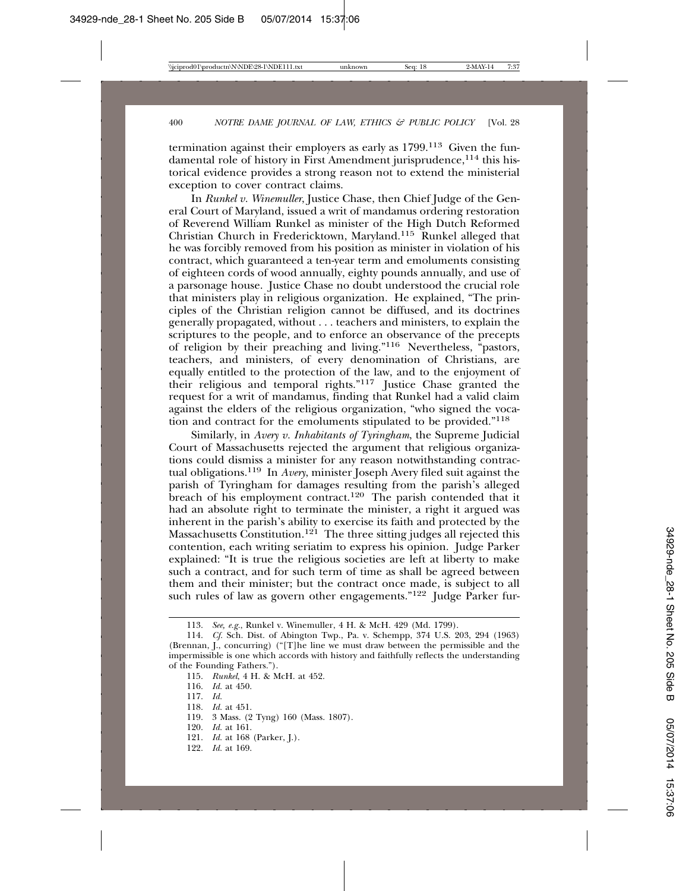termination against their employers as early as 1799.113 Given the fundamental role of history in First Amendment jurisprudence,<sup>114</sup> this historical evidence provides a strong reason not to extend the ministerial exception to cover contract claims.

In *Runkel v. Winemuller*, Justice Chase, then Chief Judge of the General Court of Maryland, issued a writ of mandamus ordering restoration of Reverend William Runkel as minister of the High Dutch Reformed Christian Church in Fredericktown, Maryland.<sup>115</sup> Runkel alleged that he was forcibly removed from his position as minister in violation of his contract, which guaranteed a ten-year term and emoluments consisting of eighteen cords of wood annually, eighty pounds annually, and use of a parsonage house. Justice Chase no doubt understood the crucial role that ministers play in religious organization. He explained, "The principles of the Christian religion cannot be diffused, and its doctrines generally propagated, without . . . teachers and ministers, to explain the scriptures to the people, and to enforce an observance of the precepts of religion by their preaching and living."116 Nevertheless, "pastors, teachers, and ministers, of every denomination of Christians, are equally entitled to the protection of the law, and to the enjoyment of their religious and temporal rights."117 Justice Chase granted the request for a writ of mandamus, finding that Runkel had a valid claim against the elders of the religious organization, "who signed the vocation and contract for the emoluments stipulated to be provided."118

Similarly, in *Avery v. Inhabitants of Tyringham*, the Supreme Judicial Court of Massachusetts rejected the argument that religious organizations could dismiss a minister for any reason notwithstanding contractual obligations.119 In *Avery*, minister Joseph Avery filed suit against the parish of Tyringham for damages resulting from the parish's alleged breach of his employment contract.120 The parish contended that it had an absolute right to terminate the minister, a right it argued was inherent in the parish's ability to exercise its faith and protected by the Massachusetts Constitution.<sup>121</sup> The three sitting judges all rejected this contention, each writing seriatim to express his opinion. Judge Parker explained: "It is true the religious societies are left at liberty to make such a contract, and for such term of time as shall be agreed between them and their minister; but the contract once made, is subject to all such rules of law as govern other engagements." $122$  Judge Parker fur-

- 118. *Id.* at 451.
- 119. 3 Mass. (2 Tyng) 160 (Mass. 1807).
- 120. *Id.* at 161.
- 121. *Id.* at 168 (Parker, J.).
- 122. *Id.* at 169.

<sup>113.</sup> *See, e.g.*, Runkel v. Winemuller, 4 H. & McH. 429 (Md. 1799).

<sup>114.</sup> *Cf.* Sch. Dist. of Abington Twp., Pa. v. Schempp, 374 U.S. 203, 294 (1963) (Brennan, J., concurring) ("[T]he line we must draw between the permissible and the impermissible is one which accords with history and faithfully reflects the understanding of the Founding Fathers.").

<sup>115.</sup> *Runkel*, 4 H. & McH. at 452.

<sup>116.</sup> *Id.* at 450.

<sup>117.</sup> *Id.*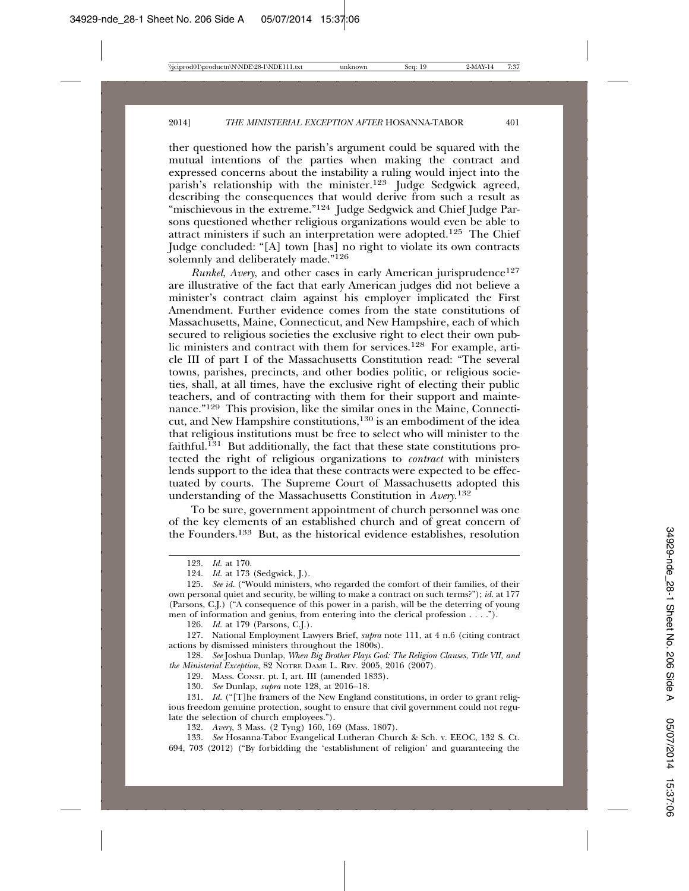ther questioned how the parish's argument could be squared with the mutual intentions of the parties when making the contract and expressed concerns about the instability a ruling would inject into the parish's relationship with the minister.<sup>123</sup> Judge Sedgwick agreed, describing the consequences that would derive from such a result as "mischievous in the extreme."<sup>124</sup> Judge Sedgwick and Chief Judge Parsons questioned whether religious organizations would even be able to attract ministers if such an interpretation were adopted.125 The Chief Judge concluded: "[A] town [has] no right to violate its own contracts solemnly and deliberately made."<sup>126</sup>

*Runkel, Avery*, and other cases in early American jurisprudence<sup>127</sup> are illustrative of the fact that early American judges did not believe a minister's contract claim against his employer implicated the First Amendment. Further evidence comes from the state constitutions of Massachusetts, Maine, Connecticut, and New Hampshire, each of which secured to religious societies the exclusive right to elect their own public ministers and contract with them for services.128 For example, article III of part I of the Massachusetts Constitution read: "The several towns, parishes, precincts, and other bodies politic, or religious societies, shall, at all times, have the exclusive right of electing their public teachers, and of contracting with them for their support and maintenance."129 This provision, like the similar ones in the Maine, Connecticut, and New Hampshire constitutions,130 is an embodiment of the idea that religious institutions must be free to select who will minister to the faithful.131 But additionally, the fact that these state constitutions protected the right of religious organizations to *contract* with ministers lends support to the idea that these contracts were expected to be effectuated by courts. The Supreme Court of Massachusetts adopted this understanding of the Massachusetts Constitution in *Avery*. 132

To be sure, government appointment of church personnel was one of the key elements of an established church and of great concern of the Founders.133 But, as the historical evidence establishes, resolution

126. *Id.* at 179 (Parsons, C.J.).

127. National Employment Lawyers Brief, *supra* note 111, at 4 n.6 (citing contract actions by dismissed ministers throughout the 1800s).

128. *See* Joshua Dunlap, *When Big Brother Plays God: The Religion Clauses, Title VII, and the Ministerial Exception*, 82 NOTRE DAME L. REV. 2005, 2016 (2007).

129. MASS. CONST. pt. I, art. III (amended 1833).

130. *See* Dunlap, *supra* note 128, at 2016–18.

132. *Avery*, 3 Mass. (2 Tyng) 160, 169 (Mass. 1807).

133. *See* Hosanna-Tabor Evangelical Lutheran Church & Sch. v. EEOC, 132 S. Ct. 694, 703 (2012) ("By forbidding the 'establishment of religion' and guaranteeing the

<sup>123.</sup> *Id.* at 170.

<sup>124.</sup> *Id.* at 173 (Sedgwick, J.).

<sup>125.</sup> *See id.* ("Would ministers, who regarded the comfort of their families, of their own personal quiet and security, be willing to make a contract on such terms?"); *id.* at 177 (Parsons, C.J.) ("A consequence of this power in a parish, will be the deterring of young men of information and genius, from entering into the clerical profession . . . .").

<sup>131.</sup> *Id.* ("[T]he framers of the New England constitutions, in order to grant religious freedom genuine protection, sought to ensure that civil government could not regulate the selection of church employees.").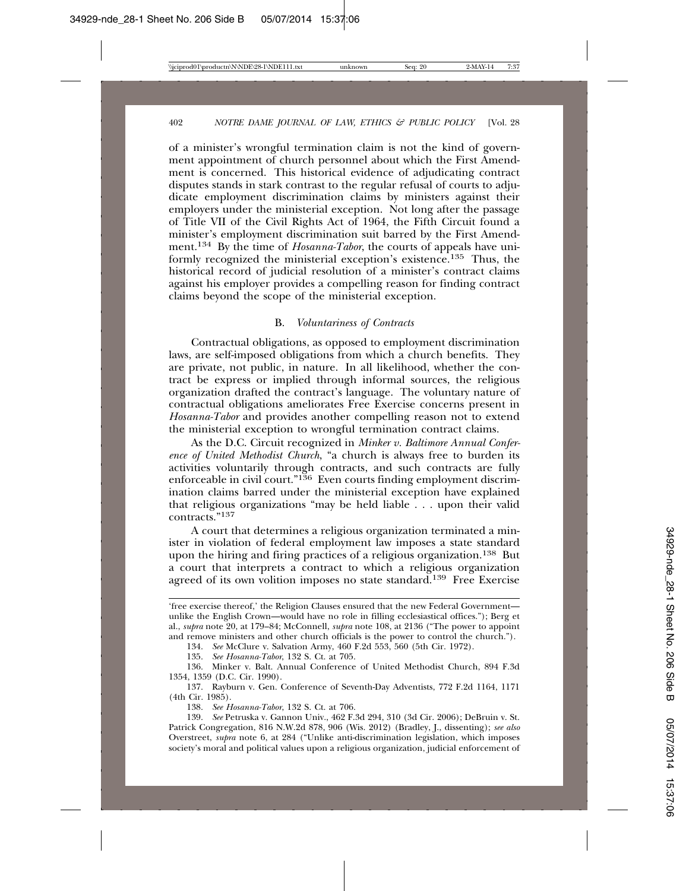of a minister's wrongful termination claim is not the kind of government appointment of church personnel about which the First Amendment is concerned. This historical evidence of adjudicating contract disputes stands in stark contrast to the regular refusal of courts to adjudicate employment discrimination claims by ministers against their employers under the ministerial exception. Not long after the passage of Title VII of the Civil Rights Act of 1964, the Fifth Circuit found a minister's employment discrimination suit barred by the First Amendment.134 By the time of *Hosanna-Tabor*, the courts of appeals have uniformly recognized the ministerial exception's existence.135 Thus, the historical record of judicial resolution of a minister's contract claims against his employer provides a compelling reason for finding contract claims beyond the scope of the ministerial exception.

#### B. *Voluntariness of Contracts*

Contractual obligations, as opposed to employment discrimination laws, are self-imposed obligations from which a church benefits. They are private, not public, in nature. In all likelihood, whether the contract be express or implied through informal sources, the religious organization drafted the contract's language. The voluntary nature of contractual obligations ameliorates Free Exercise concerns present in *Hosanna-Tabor* and provides another compelling reason not to extend the ministerial exception to wrongful termination contract claims.

As the D.C. Circuit recognized in *Minker v. Baltimore Annual Conference of United Methodist Church*, "a church is always free to burden its activities voluntarily through contracts, and such contracts are fully enforceable in civil court."<sup>136</sup> Even courts finding employment discrimination claims barred under the ministerial exception have explained that religious organizations "may be held liable . . . upon their valid contracts."<sup>137</sup>

A court that determines a religious organization terminated a minister in violation of federal employment law imposes a state standard upon the hiring and firing practices of a religious organization.138 But a court that interprets a contract to which a religious organization agreed of its own volition imposes no state standard.<sup>139</sup> Free Exercise

134. *See* McClure v. Salvation Army, 460 F.2d 553, 560 (5th Cir. 1972).

135. *See Hosanna-Tabor*, 132 S. Ct. at 705.

136. Minker v. Balt. Annual Conference of United Methodist Church, 894 F.3d 1354, 1359 (D.C. Cir. 1990).

137. Rayburn v. Gen. Conference of Seventh-Day Adventists, 772 F.2d 1164, 1171 (4th Cir. 1985).

138. *See Hosanna-Tabor*, 132 S. Ct. at 706.

139. *See* Petruska v. Gannon Univ., 462 F.3d 294, 310 (3d Cir. 2006); DeBruin v. St. Patrick Congregation, 816 N.W.2d 878, 906 (Wis. 2012) (Bradley, J., dissenting); *see also* Overstreet, *supra* note 6, at 284 ("Unlike anti-discrimination legislation, which imposes society's moral and political values upon a religious organization, judicial enforcement of

<sup>&#</sup>x27;free exercise thereof,' the Religion Clauses ensured that the new Federal Government unlike the English Crown—would have no role in filling ecclesiastical offices."); Berg et al., *supra* note 20, at 179–84; McConnell, *supra* note 108, at 2136 ("The power to appoint and remove ministers and other church officials is the power to control the church.").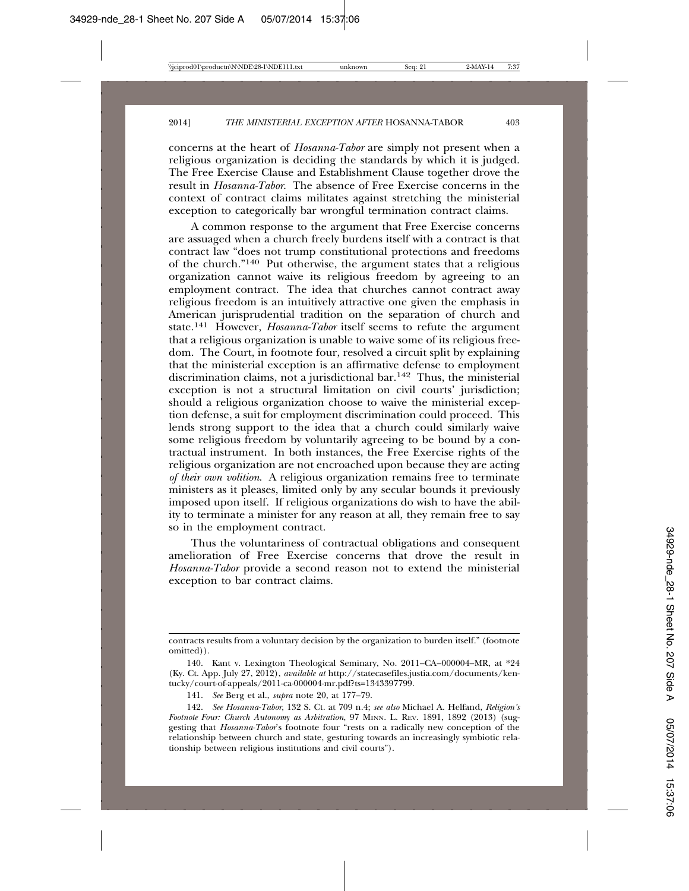concerns at the heart of *Hosanna-Tabor* are simply not present when a religious organization is deciding the standards by which it is judged. The Free Exercise Clause and Establishment Clause together drove the result in *Hosanna-Tabor*. The absence of Free Exercise concerns in the context of contract claims militates against stretching the ministerial exception to categorically bar wrongful termination contract claims.

A common response to the argument that Free Exercise concerns are assuaged when a church freely burdens itself with a contract is that contract law "does not trump constitutional protections and freedoms of the church."140 Put otherwise, the argument states that a religious organization cannot waive its religious freedom by agreeing to an employment contract. The idea that churches cannot contract away religious freedom is an intuitively attractive one given the emphasis in American jurisprudential tradition on the separation of church and state.141 However, *Hosanna-Tabor* itself seems to refute the argument that a religious organization is unable to waive some of its religious freedom. The Court, in footnote four, resolved a circuit split by explaining that the ministerial exception is an affirmative defense to employment discrimination claims, not a jurisdictional bar.142 Thus, the ministerial exception is not a structural limitation on civil courts' jurisdiction; should a religious organization choose to waive the ministerial exception defense, a suit for employment discrimination could proceed. This lends strong support to the idea that a church could similarly waive some religious freedom by voluntarily agreeing to be bound by a contractual instrument. In both instances, the Free Exercise rights of the religious organization are not encroached upon because they are acting *of their own volition*. A religious organization remains free to terminate ministers as it pleases, limited only by any secular bounds it previously imposed upon itself. If religious organizations do wish to have the ability to terminate a minister for any reason at all, they remain free to say so in the employment contract.

Thus the voluntariness of contractual obligations and consequent amelioration of Free Exercise concerns that drove the result in *Hosanna-Tabor* provide a second reason not to extend the ministerial exception to bar contract claims.

contracts results from a voluntary decision by the organization to burden itself." (footnote omitted)).

<sup>140.</sup> Kant v. Lexington Theological Seminary, No. 2011–CA–000004–MR, at \*24 (Ky. Ct. App. July 27, 2012), *available at* http://statecasefiles.justia.com/documents/kentucky/court-of-appeals/2011-ca-000004-mr.pdf?ts=1343397799.

<sup>141.</sup> *See* Berg et al., *supra* note 20, at 177–79.

<sup>142.</sup> *See Hosanna-Tabor*, 132 S. Ct. at 709 n.4; *see also* Michael A. Helfand, *Religion's Footnote Four: Church Autonomy as Arbitration*, 97 MINN. L. REV. 1891, 1892 (2013) (suggesting that *Hosanna-Tabor*'s footnote four "rests on a radically new conception of the relationship between church and state, gesturing towards an increasingly symbiotic relationship between religious institutions and civil courts").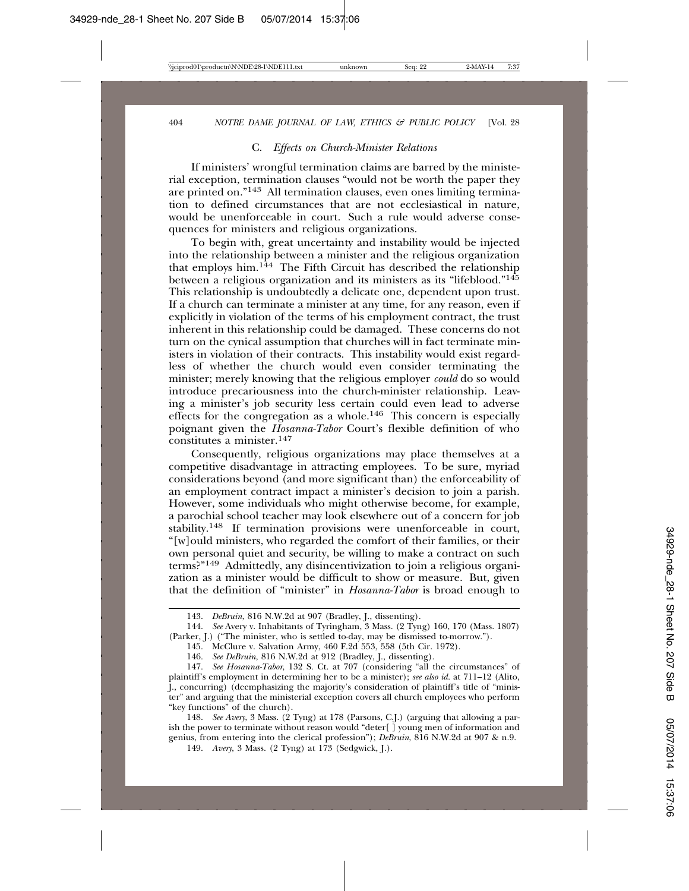#### C. *Effects on Church-Minister Relations*

If ministers' wrongful termination claims are barred by the ministerial exception, termination clauses "would not be worth the paper they are printed on."143 All termination clauses, even ones limiting termination to defined circumstances that are not ecclesiastical in nature, would be unenforceable in court. Such a rule would adverse consequences for ministers and religious organizations.

To begin with, great uncertainty and instability would be injected into the relationship between a minister and the religious organization that employs him.144 The Fifth Circuit has described the relationship between a religious organization and its ministers as its "lifeblood."145 This relationship is undoubtedly a delicate one, dependent upon trust. If a church can terminate a minister at any time, for any reason, even if explicitly in violation of the terms of his employment contract, the trust inherent in this relationship could be damaged. These concerns do not turn on the cynical assumption that churches will in fact terminate ministers in violation of their contracts. This instability would exist regardless of whether the church would even consider terminating the minister; merely knowing that the religious employer *could* do so would introduce precariousness into the church-minister relationship. Leaving a minister's job security less certain could even lead to adverse effects for the congregation as a whole.<sup>146</sup> This concern is especially poignant given the *Hosanna-Tabor* Court's flexible definition of who constitutes a minister.147

Consequently, religious organizations may place themselves at a competitive disadvantage in attracting employees. To be sure, myriad considerations beyond (and more significant than) the enforceability of an employment contract impact a minister's decision to join a parish. However, some individuals who might otherwise become, for example, a parochial school teacher may look elsewhere out of a concern for job stability.148 If termination provisions were unenforceable in court, "[w]ould ministers, who regarded the comfort of their families, or their own personal quiet and security, be willing to make a contract on such terms?"149 Admittedly, any disincentivization to join a religious organization as a minister would be difficult to show or measure. But, given that the definition of "minister" in *Hosanna-Tabor* is broad enough to

149. *Avery*, 3 Mass. (2 Tyng) at 173 (Sedgwick, J.).

<sup>143.</sup> *DeBruin*, 816 N.W.2d at 907 (Bradley, J., dissenting).

<sup>144.</sup> *See* Avery v. Inhabitants of Tyringham, 3 Mass. (2 Tyng) 160, 170 (Mass. 1807) (Parker, J.) ("The minister, who is settled to-day, may be dismissed to-morrow.").

<sup>145.</sup> McClure v. Salvation Army, 460 F.2d 553, 558 (5th Cir. 1972).

<sup>146.</sup> *See DeBruin*, 816 N.W.2d at 912 (Bradley, J., dissenting).

<sup>147.</sup> *See Hosanna-Tabor*, 132 S. Ct. at 707 (considering "all the circumstances" of plaintiff's employment in determining her to be a minister); *see also id.* at 711–12 (Alito, J., concurring) (deemphasizing the majority's consideration of plaintiff's title of "minister" and arguing that the ministerial exception covers all church employees who perform "key functions" of the church).

<sup>148.</sup> *See Avery*, 3 Mass. (2 Tyng) at 178 (Parsons, C.J.) (arguing that allowing a parish the power to terminate without reason would "deter[ ] young men of information and genius, from entering into the clerical profession"); *DeBruin*, 816 N.W.2d at 907 & n.9.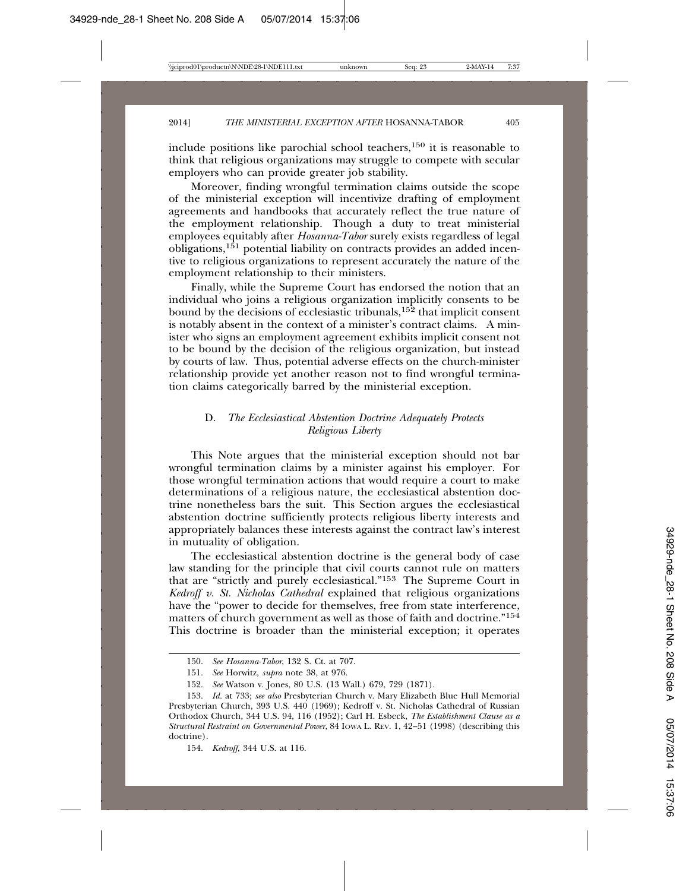include positions like parochial school teachers,150 it is reasonable to think that religious organizations may struggle to compete with secular employers who can provide greater job stability.

Moreover, finding wrongful termination claims outside the scope of the ministerial exception will incentivize drafting of employment agreements and handbooks that accurately reflect the true nature of the employment relationship. Though a duty to treat ministerial employees equitably after *Hosanna-Tabor* surely exists regardless of legal obligations,151 potential liability on contracts provides an added incentive to religious organizations to represent accurately the nature of the employment relationship to their ministers.

Finally, while the Supreme Court has endorsed the notion that an individual who joins a religious organization implicitly consents to be bound by the decisions of ecclesiastic tribunals, $15\overline{2}$  that implicit consent is notably absent in the context of a minister's contract claims. A minister who signs an employment agreement exhibits implicit consent not to be bound by the decision of the religious organization, but instead by courts of law. Thus, potential adverse effects on the church-minister relationship provide yet another reason not to find wrongful termination claims categorically barred by the ministerial exception.

# D. *The Ecclesiastical Abstention Doctrine Adequately Protects Religious Liberty*

This Note argues that the ministerial exception should not bar wrongful termination claims by a minister against his employer. For those wrongful termination actions that would require a court to make determinations of a religious nature, the ecclesiastical abstention doctrine nonetheless bars the suit. This Section argues the ecclesiastical abstention doctrine sufficiently protects religious liberty interests and appropriately balances these interests against the contract law's interest in mutuality of obligation.

The ecclesiastical abstention doctrine is the general body of case law standing for the principle that civil courts cannot rule on matters that are "strictly and purely ecclesiastical."153 The Supreme Court in *Kedroff v. St. Nicholas Cathedral* explained that religious organizations have the "power to decide for themselves, free from state interference, matters of church government as well as those of faith and doctrine."154 This doctrine is broader than the ministerial exception; it operates

<sup>150.</sup> *See Hosanna-Tabor*, 132 S. Ct. at 707.

<sup>151.</sup> *See* Horwitz, *supra* note 38, at 976.

<sup>152.</sup> *See* Watson v. Jones, 80 U.S. (13 Wall.) 679, 729 (1871).

<sup>153.</sup> *Id.* at 733; *see also* Presbyterian Church v. Mary Elizabeth Blue Hull Memorial Presbyterian Church, 393 U.S. 440 (1969); Kedroff v. St. Nicholas Cathedral of Russian Orthodox Church, 344 U.S. 94, 116 (1952); Carl H. Esbeck, *The Establishment Clause as a Structural Restraint on Governmental Power*, 84 IOWA L. REV. 1, 42–51 (1998) (describing this doctrine).

<sup>154.</sup> *Kedroff*, 344 U.S. at 116.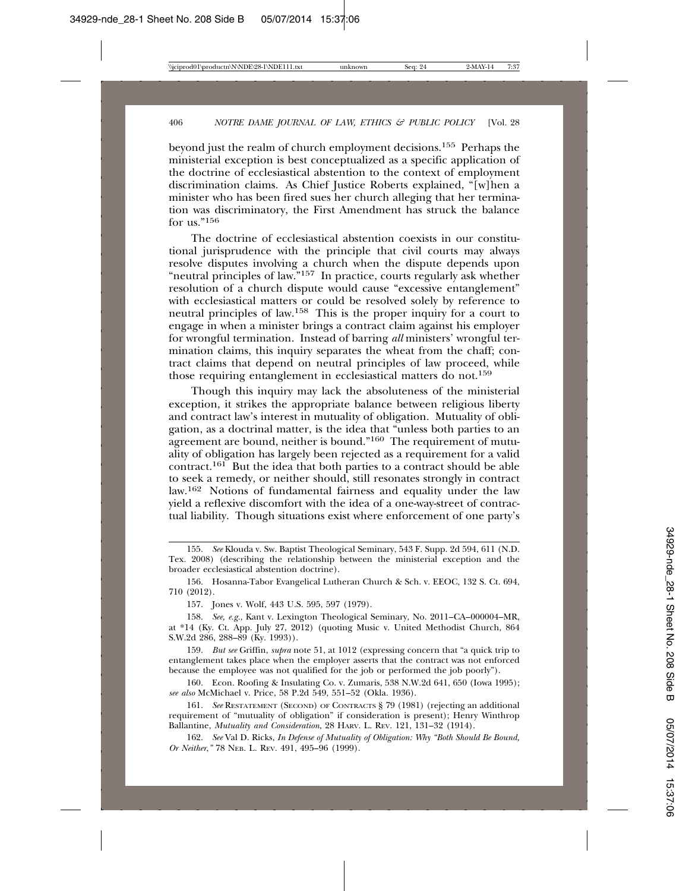beyond just the realm of church employment decisions.155 Perhaps the ministerial exception is best conceptualized as a specific application of the doctrine of ecclesiastical abstention to the context of employment discrimination claims. As Chief Justice Roberts explained, "[w]hen a minister who has been fired sues her church alleging that her termination was discriminatory, the First Amendment has struck the balance for us."156

The doctrine of ecclesiastical abstention coexists in our constitutional jurisprudence with the principle that civil courts may always resolve disputes involving a church when the dispute depends upon "neutral principles of law."157 In practice, courts regularly ask whether resolution of a church dispute would cause "excessive entanglement" with ecclesiastical matters or could be resolved solely by reference to neutral principles of law.158 This is the proper inquiry for a court to engage in when a minister brings a contract claim against his employer for wrongful termination. Instead of barring *all* ministers' wrongful termination claims, this inquiry separates the wheat from the chaff; contract claims that depend on neutral principles of law proceed, while those requiring entanglement in ecclesiastical matters do not.159

Though this inquiry may lack the absoluteness of the ministerial exception, it strikes the appropriate balance between religious liberty and contract law's interest in mutuality of obligation. Mutuality of obligation, as a doctrinal matter, is the idea that "unless both parties to an agreement are bound, neither is bound."<sup>160</sup> The requirement of mutuality of obligation has largely been rejected as a requirement for a valid contract.<sup>161</sup> But the idea that both parties to a contract should be able to seek a remedy, or neither should, still resonates strongly in contract law.162 Notions of fundamental fairness and equality under the law yield a reflexive discomfort with the idea of a one-way-street of contractual liability. Though situations exist where enforcement of one party's

<sup>155.</sup> *See* Klouda v. Sw. Baptist Theological Seminary, 543 F. Supp. 2d 594, 611 (N.D. Tex. 2008) (describing the relationship between the ministerial exception and the broader ecclesiastical abstention doctrine).

<sup>156.</sup> Hosanna-Tabor Evangelical Lutheran Church & Sch. v. EEOC, 132 S. Ct. 694, 710 (2012).

<sup>157.</sup> Jones v. Wolf, 443 U.S. 595, 597 (1979).

<sup>158.</sup> *See, e.g.*, Kant v. Lexington Theological Seminary, No. 2011–CA–000004–MR, at \*14 (Ky. Ct. App. July 27, 2012) (quoting Music v. United Methodist Church, 864 S.W.2d 286, 288–89 (Ky. 1993)).

<sup>159.</sup> *But see* Griffin, *supra* note 51, at 1012 (expressing concern that "a quick trip to entanglement takes place when the employer asserts that the contract was not enforced because the employee was not qualified for the job or performed the job poorly").

<sup>160.</sup> Econ. Roofing & Insulating Co. v. Zumaris, 538 N.W.2d 641, 650 (Iowa 1995); *see also* McMichael v. Price, 58 P.2d 549, 551–52 (Okla. 1936).

<sup>161.</sup> *See* RESTATEMENT (SECOND) OF CONTRACTS § 79 (1981) (rejecting an additional requirement of "mutuality of obligation" if consideration is present); Henry Winthrop Ballantine, *Mutuality and Consideration*, 28 HARV. L. REV. 121, 131-32 (1914).

<sup>162.</sup> *See* Val D. Ricks, *In Defense of Mutuality of Obligation: Why "Both Should Be Bound, Or Neither*,*"* 78 NEB. L. REV. 491, 495–96 (1999).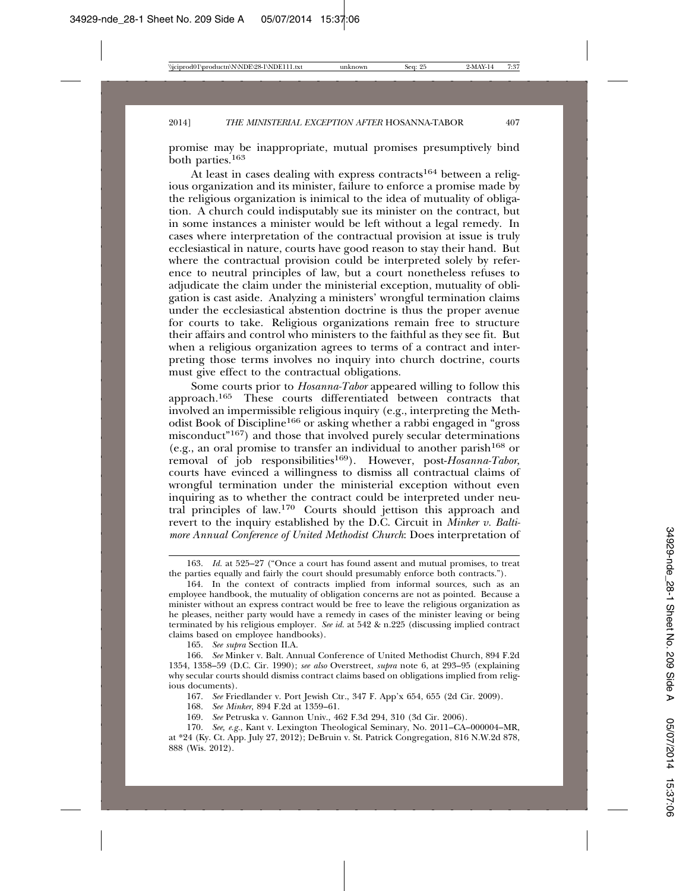promise may be inappropriate, mutual promises presumptively bind both parties.163

At least in cases dealing with express contracts<sup>164</sup> between a religious organization and its minister, failure to enforce a promise made by the religious organization is inimical to the idea of mutuality of obligation. A church could indisputably sue its minister on the contract, but in some instances a minister would be left without a legal remedy. In cases where interpretation of the contractual provision at issue is truly ecclesiastical in nature, courts have good reason to stay their hand. But where the contractual provision could be interpreted solely by reference to neutral principles of law, but a court nonetheless refuses to adjudicate the claim under the ministerial exception, mutuality of obligation is cast aside. Analyzing a ministers' wrongful termination claims under the ecclesiastical abstention doctrine is thus the proper avenue for courts to take. Religious organizations remain free to structure their affairs and control who ministers to the faithful as they see fit. But when a religious organization agrees to terms of a contract and interpreting those terms involves no inquiry into church doctrine, courts must give effect to the contractual obligations.

Some courts prior to *Hosanna-Tabor* appeared willing to follow this approach.165 These courts differentiated between contracts that involved an impermissible religious inquiry (e.g., interpreting the Methodist Book of Discipline166 or asking whether a rabbi engaged in "gross misconduct"167) and those that involved purely secular determinations (e.g., an oral promise to transfer an individual to another parish<sup>168</sup> or removal of job responsibilities<sup>169</sup>). However, post-Hosanna-Tabor, courts have evinced a willingness to dismiss all contractual claims of wrongful termination under the ministerial exception without even inquiring as to whether the contract could be interpreted under neutral principles of law.170 Courts should jettison this approach and revert to the inquiry established by the D.C. Circuit in *Minker v. Baltimore Annual Conference of United Methodist Church*: Does interpretation of

165. *See supra* Section II.A.

166. *See* Minker v. Balt. Annual Conference of United Methodist Church, 894 F.2d 1354, 1358–59 (D.C. Cir. 1990); *see also* Overstreet, *supra* note 6, at 293–95 (explaining why secular courts should dismiss contract claims based on obligations implied from religious documents).

167. *See* Friedlander v. Port Jewish Ctr., 347 F. App'x 654, 655 (2d Cir. 2009).

168. *See Minker*, 894 F.2d at 1359–61.

169. *See* Petruska v. Gannon Univ., 462 F.3d 294, 310 (3d Cir. 2006).

170. *See, e.g.*, Kant v. Lexington Theological Seminary, No. 2011–CA–000004–MR, at \*24 (Ky. Ct. App. July 27, 2012); DeBruin v. St. Patrick Congregation, 816 N.W.2d 878, 888 (Wis. 2012).

<sup>163.</sup> *Id.* at 525–27 ("Once a court has found assent and mutual promises, to treat the parties equally and fairly the court should presumably enforce both contracts.").

<sup>164.</sup> In the context of contracts implied from informal sources, such as an employee handbook, the mutuality of obligation concerns are not as pointed. Because a minister without an express contract would be free to leave the religious organization as he pleases, neither party would have a remedy in cases of the minister leaving or being terminated by his religious employer. *See id.* at 542 & n.225 (discussing implied contract claims based on employee handbooks).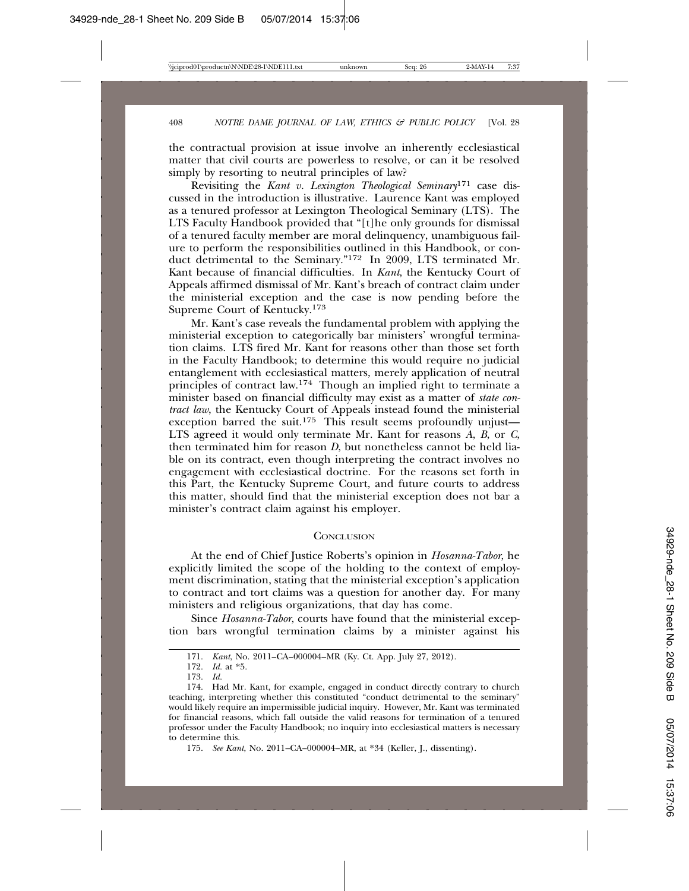the contractual provision at issue involve an inherently ecclesiastical matter that civil courts are powerless to resolve, or can it be resolved simply by resorting to neutral principles of law?

Revisiting the *Kant v. Lexington Theological Seminary*171 case discussed in the introduction is illustrative. Laurence Kant was employed as a tenured professor at Lexington Theological Seminary (LTS). The LTS Faculty Handbook provided that "[t]he only grounds for dismissal of a tenured faculty member are moral delinquency, unambiguous failure to perform the responsibilities outlined in this Handbook, or conduct detrimental to the Seminary."172 In 2009, LTS terminated Mr. Kant because of financial difficulties. In *Kant*, the Kentucky Court of Appeals affirmed dismissal of Mr. Kant's breach of contract claim under the ministerial exception and the case is now pending before the Supreme Court of Kentucky.173

Mr. Kant's case reveals the fundamental problem with applying the ministerial exception to categorically bar ministers' wrongful termination claims. LTS fired Mr. Kant for reasons other than those set forth in the Faculty Handbook; to determine this would require no judicial entanglement with ecclesiastical matters, merely application of neutral principles of contract law.174 Though an implied right to terminate a minister based on financial difficulty may exist as a matter of *state contract law*, the Kentucky Court of Appeals instead found the ministerial exception barred the suit.<sup>175</sup> This result seems profoundly unjust— LTS agreed it would only terminate Mr. Kant for reasons *A*, *B*, or *C*, then terminated him for reason *D*, but nonetheless cannot be held liable on its contract, even though interpreting the contract involves no engagement with ecclesiastical doctrine. For the reasons set forth in this Part, the Kentucky Supreme Court, and future courts to address this matter, should find that the ministerial exception does not bar a minister's contract claim against his employer.

#### **CONCLUSION**

At the end of Chief Justice Roberts's opinion in *Hosanna-Tabor*, he explicitly limited the scope of the holding to the context of employment discrimination, stating that the ministerial exception's application to contract and tort claims was a question for another day. For many ministers and religious organizations, that day has come.

Since *Hosanna-Tabor*, courts have found that the ministerial exception bars wrongful termination claims by a minister against his

175. *See Kant*, No. 2011–CA–000004–MR, at \*34 (Keller, J., dissenting).

<sup>171.</sup> *Kant*, No. 2011–CA–000004–MR (Ky. Ct. App. July 27, 2012).

<sup>172.</sup> *Id.* at \*5.

<sup>173.</sup> *Id.*

<sup>174.</sup> Had Mr. Kant, for example, engaged in conduct directly contrary to church teaching, interpreting whether this constituted "conduct detrimental to the seminary" would likely require an impermissible judicial inquiry. However, Mr. Kant was terminated for financial reasons, which fall outside the valid reasons for termination of a tenured professor under the Faculty Handbook; no inquiry into ecclesiastical matters is necessary to determine this.